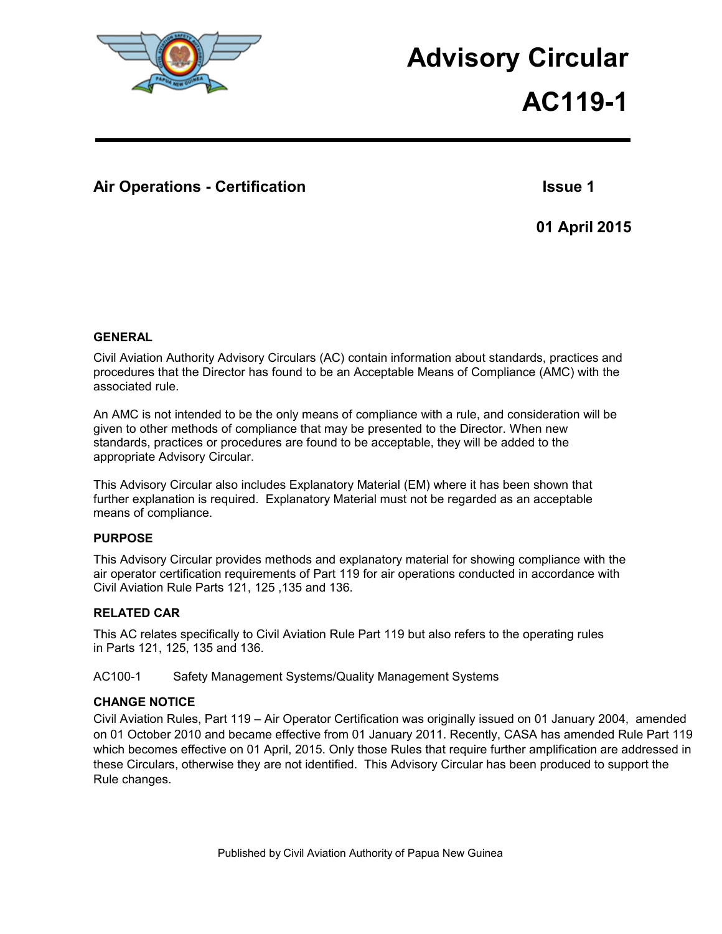

# **Advisory Circular AC119-1**

# **Air Operations - Certification Issue 1**

**01 April 2015**

# **GENERAL**

Civil Aviation Authority Advisory Circulars (AC) contain information about standards, practices and procedures that the Director has found to be an Acceptable Means of Compliance (AMC) with the associated rule.

An AMC is not intended to be the only means of compliance with a rule, and consideration will be given to other methods of compliance that may be presented to the Director. When new standards, practices or procedures are found to be acceptable, they will be added to the appropriate Advisory Circular.

This Advisory Circular also includes Explanatory Material (EM) where it has been shown that further explanation is required. Explanatory Material must not be regarded as an acceptable means of compliance.

# **PURPOSE**

This Advisory Circular provides methods and explanatory material for showing compliance with the air operator certification requirements of Part 119 for air operations conducted in accordance with Civil Aviation Rule Parts 121, 125 ,135 and 136.

# **RELATED CAR**

This AC relates specifically to Civil Aviation Rule Part 119 but also refers to the operating rules in Parts 121, 125, 135 and 136.

AC100-1 Safety Management Systems/Quality Management Systems

# **CHANGE NOTICE**

Civil Aviation Rules, Part 119 – Air Operator Certification was originally issued on 01 January 2004, amended on 01 October 2010 and became effective from 01 January 2011. Recently, CASA has amended Rule Part 119 which becomes effective on 01 April, 2015. Only those Rules that require further amplification are addressed in these Circulars, otherwise they are not identified. This Advisory Circular has been produced to support the Rule changes.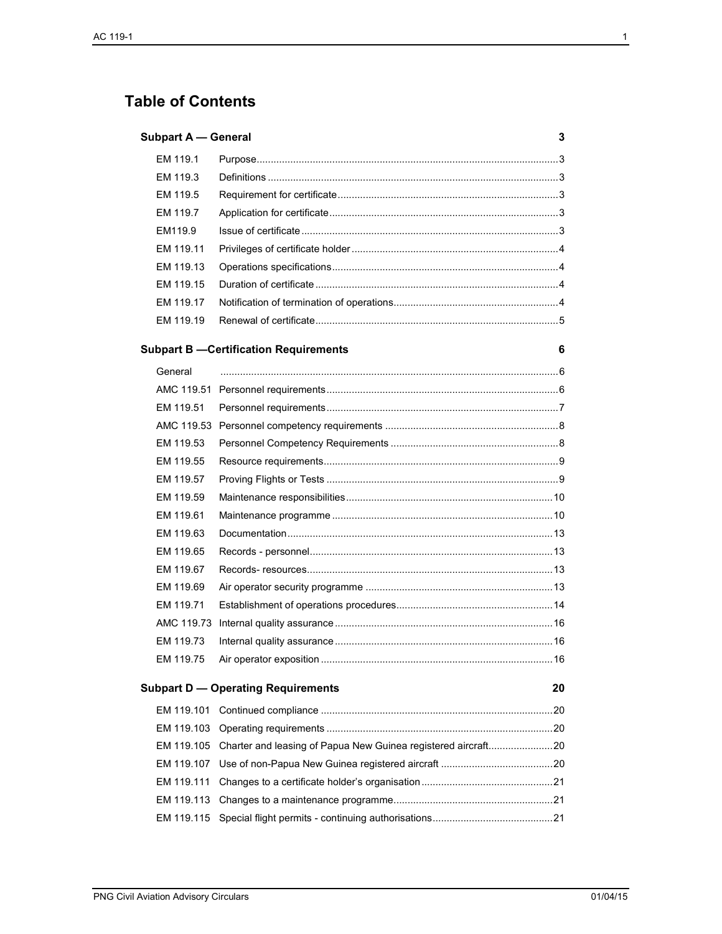# **Table of Contents**

| <b>Subpart A - General</b> |                                                               | 3  |
|----------------------------|---------------------------------------------------------------|----|
| EM 119.1                   |                                                               |    |
| EM 119.3                   |                                                               |    |
| EM 119.5                   |                                                               |    |
| EM 119.7                   |                                                               |    |
| EM119.9                    |                                                               |    |
| EM 119.11                  |                                                               |    |
| EM 119.13                  |                                                               |    |
| EM 119.15                  |                                                               |    |
| EM 119.17                  |                                                               |    |
| EM 119.19                  |                                                               |    |
|                            | <b>Subpart B</b> -Certification Requirements                  | 6  |
| General                    |                                                               |    |
|                            |                                                               |    |
| EM 119.51                  |                                                               |    |
|                            |                                                               |    |
| EM 119.53                  |                                                               |    |
| EM 119.55                  |                                                               |    |
| EM 119.57                  |                                                               |    |
| EM 119.59                  |                                                               |    |
| EM 119.61                  |                                                               |    |
| EM 119.63                  |                                                               |    |
| EM 119.65                  |                                                               |    |
| EM 119.67                  |                                                               |    |
| EM 119.69                  |                                                               |    |
| EM 119.71                  |                                                               |    |
| AMC 119.73                 |                                                               |    |
| EM 119.73                  |                                                               |    |
| EM 119.75                  |                                                               |    |
|                            | <b>Subpart D - Operating Requirements</b>                     | 20 |
| EM 119.101                 |                                                               |    |
| EM 119.103                 |                                                               |    |
| EM 119.105                 | Charter and leasing of Papua New Guinea registered aircraft20 |    |
| EM 119.107                 |                                                               |    |
| EM 119.111                 |                                                               |    |
| EM 119.113                 |                                                               |    |
| EM 119.115                 |                                                               |    |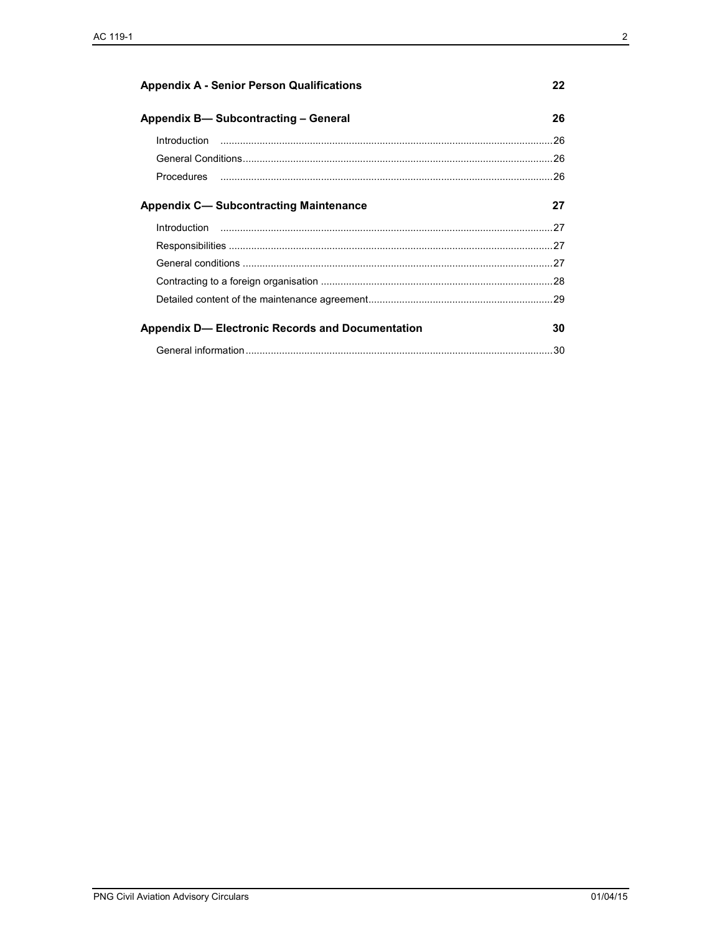| <b>Appendix A - Senior Person Qualifications</b>       | 22 |  |
|--------------------------------------------------------|----|--|
| Appendix B— Subcontracting – General                   |    |  |
|                                                        |    |  |
|                                                        |    |  |
| Procedures                                             |    |  |
| Appendix C— Subcontracting Maintenance                 | 27 |  |
|                                                        |    |  |
|                                                        |    |  |
|                                                        |    |  |
|                                                        |    |  |
|                                                        |    |  |
| Appendix D- Electronic Records and Documentation<br>30 |    |  |
| .30                                                    |    |  |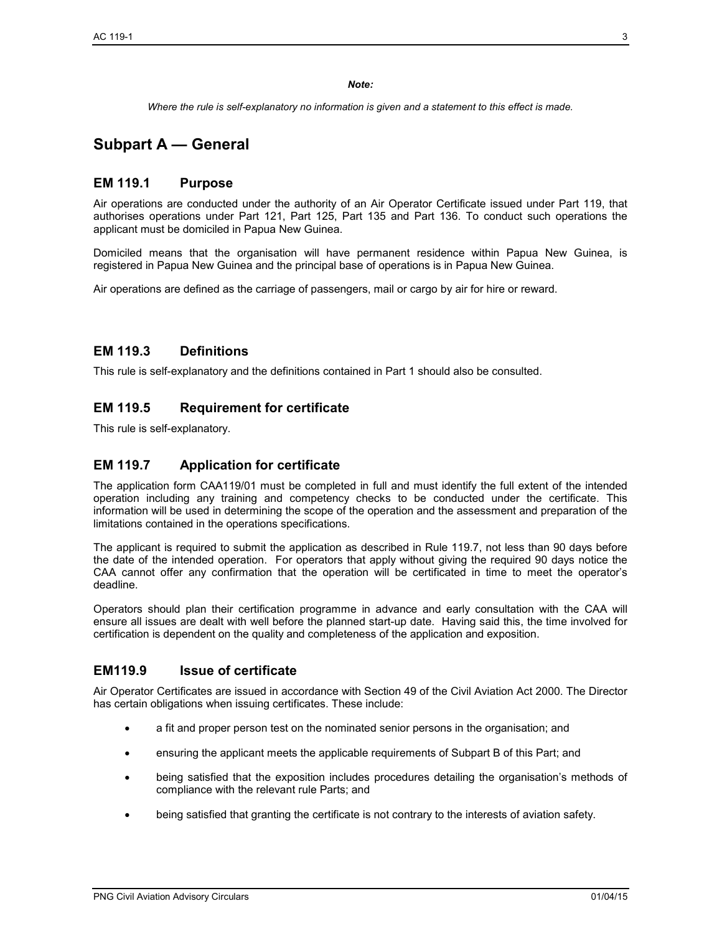#### *Note:*

*Where the rule is self-explanatory no information is given and a statement to this effect is made.* 

# **Subpart A — General**

# **EM 119.1 Purpose**

Air operations are conducted under the authority of an Air Operator Certificate issued under Part 119, that authorises operations under Part 121, Part 125, Part 135 and Part 136. To conduct such operations the applicant must be domiciled in Papua New Guinea.

Domiciled means that the organisation will have permanent residence within Papua New Guinea, is registered in Papua New Guinea and the principal base of operations is in Papua New Guinea.

Air operations are defined as the carriage of passengers, mail or cargo by air for hire or reward.

# **EM 119.3 Definitions**

This rule is self-explanatory and the definitions contained in Part 1 should also be consulted.

# **EM 119.5 Requirement for certificate**

This rule is self-explanatory.

# **EM 119.7 Application for certificate**

The application form CAA119/01 must be completed in full and must identify the full extent of the intended operation including any training and competency checks to be conducted under the certificate. This information will be used in determining the scope of the operation and the assessment and preparation of the limitations contained in the operations specifications.

The applicant is required to submit the application as described in Rule 119.7, not less than 90 days before the date of the intended operation. For operators that apply without giving the required 90 days notice the CAA cannot offer any confirmation that the operation will be certificated in time to meet the operator's deadline.

Operators should plan their certification programme in advance and early consultation with the CAA will ensure all issues are dealt with well before the planned start-up date. Having said this, the time involved for certification is dependent on the quality and completeness of the application and exposition.

# **EM119.9 Issue of certificate**

Air Operator Certificates are issued in accordance with Section 49 of the Civil Aviation Act 2000. The Director has certain obligations when issuing certificates. These include:

- a fit and proper person test on the nominated senior persons in the organisation; and
- ensuring the applicant meets the applicable requirements of Subpart B of this Part; and
- being satisfied that the exposition includes procedures detailing the organisation's methods of compliance with the relevant rule Parts; and
- being satisfied that granting the certificate is not contrary to the interests of aviation safety.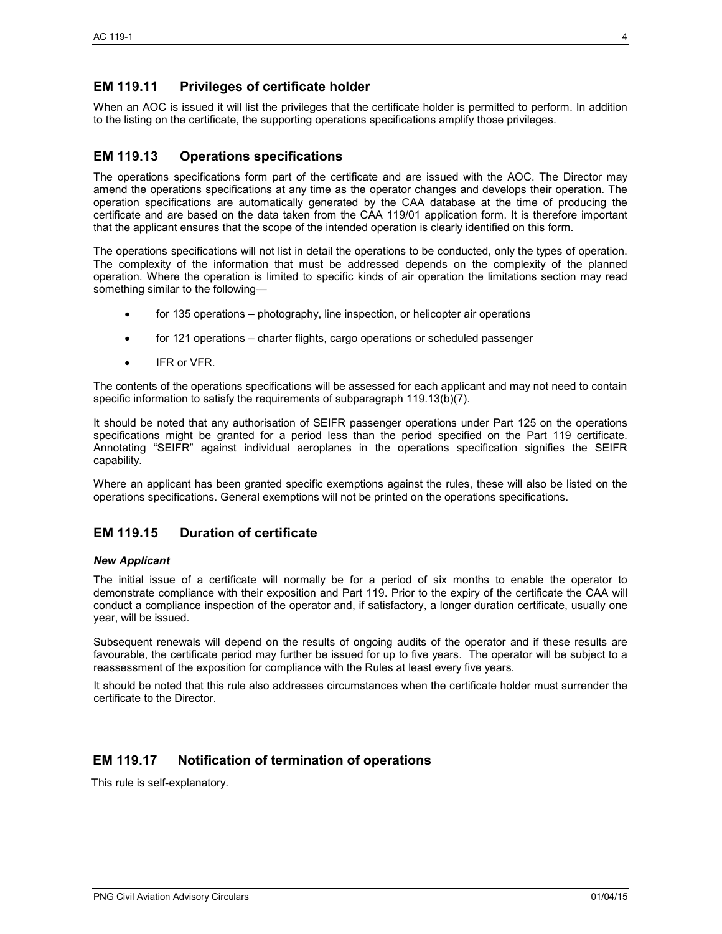# **EM 119.11 Privileges of certificate holder**

When an AOC is issued it will list the privileges that the certificate holder is permitted to perform. In addition to the listing on the certificate, the supporting operations specifications amplify those privileges.

# **EM 119.13 Operations specifications**

The operations specifications form part of the certificate and are issued with the AOC. The Director may amend the operations specifications at any time as the operator changes and develops their operation. The operation specifications are automatically generated by the CAA database at the time of producing the certificate and are based on the data taken from the CAA 119/01 application form. It is therefore important that the applicant ensures that the scope of the intended operation is clearly identified on this form.

The operations specifications will not list in detail the operations to be conducted, only the types of operation. The complexity of the information that must be addressed depends on the complexity of the planned operation. Where the operation is limited to specific kinds of air operation the limitations section may read something similar to the following—

- for 135 operations photography, line inspection, or helicopter air operations
- for 121 operations charter flights, cargo operations or scheduled passenger
- IFR or VFR.

The contents of the operations specifications will be assessed for each applicant and may not need to contain specific information to satisfy the requirements of subparagraph 119.13(b)(7).

It should be noted that any authorisation of SEIFR passenger operations under Part 125 on the operations specifications might be granted for a period less than the period specified on the Part 119 certificate. Annotating "SEIFR" against individual aeroplanes in the operations specification signifies the SEIFR capability.

Where an applicant has been granted specific exemptions against the rules, these will also be listed on the operations specifications. General exemptions will not be printed on the operations specifications.

# **EM 119.15 Duration of certificate**

#### *New Applicant*

The initial issue of a certificate will normally be for a period of six months to enable the operator to demonstrate compliance with their exposition and Part 119. Prior to the expiry of the certificate the CAA will conduct a compliance inspection of the operator and, if satisfactory, a longer duration certificate, usually one year, will be issued.

Subsequent renewals will depend on the results of ongoing audits of the operator and if these results are favourable, the certificate period may further be issued for up to five years. The operator will be subject to a reassessment of the exposition for compliance with the Rules at least every five years.

It should be noted that this rule also addresses circumstances when the certificate holder must surrender the certificate to the Director.

# **EM 119.17 Notification of termination of operations**

This rule is self-explanatory.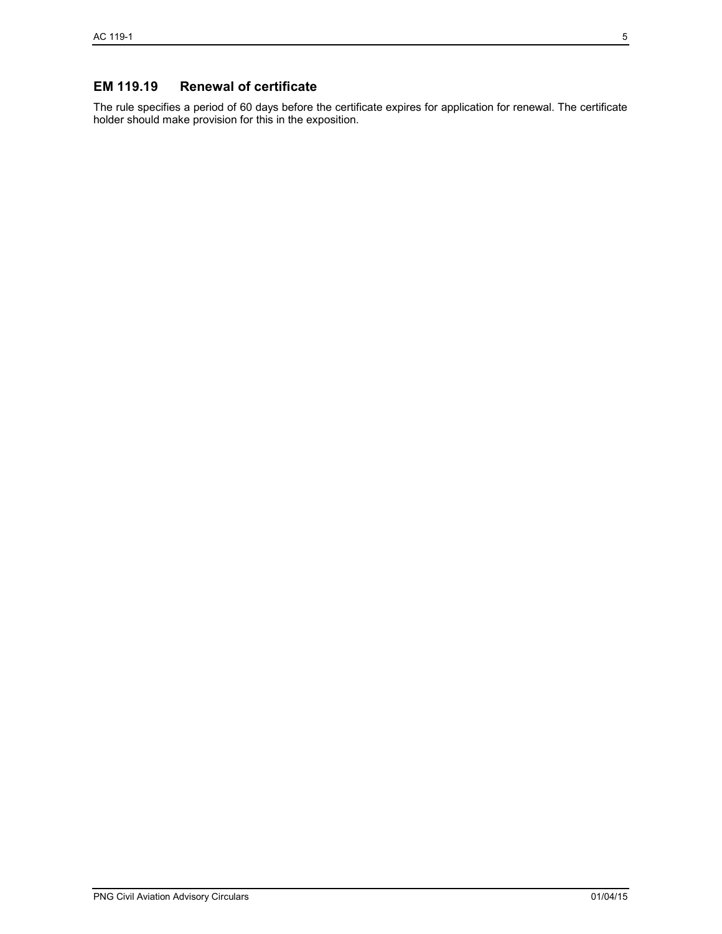# **EM 119.19 Renewal of certificate**

The rule specifies a period of 60 days before the certificate expires for application for renewal. The certificate holder should make provision for this in the exposition.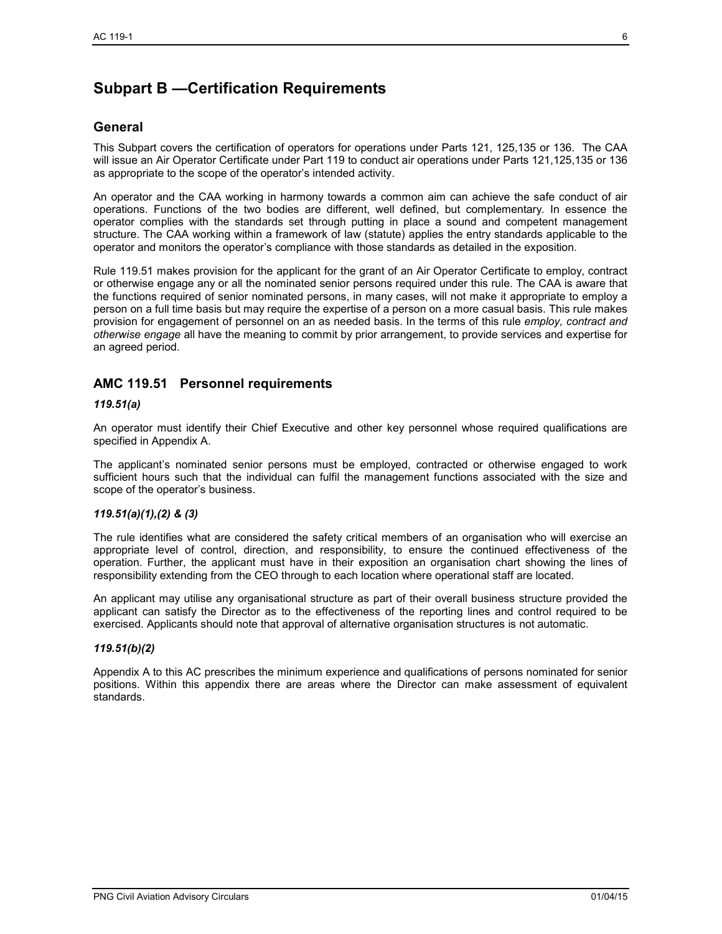# **Subpart B —Certification Requirements**

## **General**

This Subpart covers the certification of operators for operations under Parts 121, 125,135 or 136. The CAA will issue an Air Operator Certificate under Part 119 to conduct air operations under Parts 121,125,135 or 136 as appropriate to the scope of the operator's intended activity.

An operator and the CAA working in harmony towards a common aim can achieve the safe conduct of air operations. Functions of the two bodies are different, well defined, but complementary. In essence the operator complies with the standards set through putting in place a sound and competent management structure. The CAA working within a framework of law (statute) applies the entry standards applicable to the operator and monitors the operator's compliance with those standards as detailed in the exposition.

Rule 119.51 makes provision for the applicant for the grant of an Air Operator Certificate to employ, contract or otherwise engage any or all the nominated senior persons required under this rule. The CAA is aware that the functions required of senior nominated persons, in many cases, will not make it appropriate to employ a person on a full time basis but may require the expertise of a person on a more casual basis. This rule makes provision for engagement of personnel on an as needed basis. In the terms of this rule *employ, contract and otherwise engage* all have the meaning to commit by prior arrangement, to provide services and expertise for an agreed period.

# **AMC 119.51 Personnel requirements**

#### *119.51(a)*

An operator must identify their Chief Executive and other key personnel whose required qualifications are specified in Appendix A.

The applicant's nominated senior persons must be employed, contracted or otherwise engaged to work sufficient hours such that the individual can fulfil the management functions associated with the size and scope of the operator's business.

#### *119.51(a)(1),(2) & (3)*

The rule identifies what are considered the safety critical members of an organisation who will exercise an appropriate level of control, direction, and responsibility, to ensure the continued effectiveness of the operation. Further, the applicant must have in their exposition an organisation chart showing the lines of responsibility extending from the CEO through to each location where operational staff are located.

An applicant may utilise any organisational structure as part of their overall business structure provided the applicant can satisfy the Director as to the effectiveness of the reporting lines and control required to be exercised. Applicants should note that approval of alternative organisation structures is not automatic.

#### *119.51(b)(2)*

Appendix A to this AC prescribes the minimum experience and qualifications of persons nominated for senior positions. Within this appendix there are areas where the Director can make assessment of equivalent standards.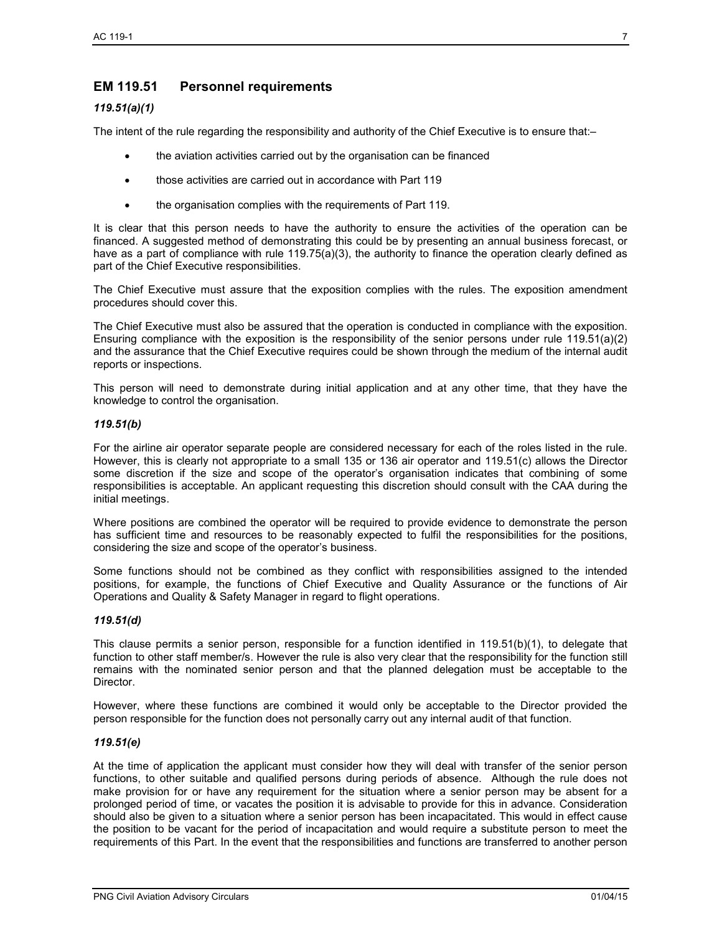# **EM 119.51 Personnel requirements**

#### *119.51(a)(1)*

The intent of the rule regarding the responsibility and authority of the Chief Executive is to ensure that:–

- the aviation activities carried out by the organisation can be financed
- those activities are carried out in accordance with Part 119
- the organisation complies with the requirements of Part 119.

It is clear that this person needs to have the authority to ensure the activities of the operation can be financed. A suggested method of demonstrating this could be by presenting an annual business forecast, or have as a part of compliance with rule 119.75(a)(3), the authority to finance the operation clearly defined as part of the Chief Executive responsibilities.

The Chief Executive must assure that the exposition complies with the rules. The exposition amendment procedures should cover this.

The Chief Executive must also be assured that the operation is conducted in compliance with the exposition. Ensuring compliance with the exposition is the responsibility of the senior persons under rule 119.51(a)(2) and the assurance that the Chief Executive requires could be shown through the medium of the internal audit reports or inspections.

This person will need to demonstrate during initial application and at any other time, that they have the knowledge to control the organisation.

#### *119.51(b)*

For the airline air operator separate people are considered necessary for each of the roles listed in the rule. However, this is clearly not appropriate to a small 135 or 136 air operator and 119.51(c) allows the Director some discretion if the size and scope of the operator's organisation indicates that combining of some responsibilities is acceptable. An applicant requesting this discretion should consult with the CAA during the initial meetings.

Where positions are combined the operator will be required to provide evidence to demonstrate the person has sufficient time and resources to be reasonably expected to fulfil the responsibilities for the positions, considering the size and scope of the operator's business.

Some functions should not be combined as they conflict with responsibilities assigned to the intended positions, for example, the functions of Chief Executive and Quality Assurance or the functions of Air Operations and Quality & Safety Manager in regard to flight operations.

#### *119.51(d)*

This clause permits a senior person, responsible for a function identified in 119.51(b)(1), to delegate that function to other staff member/s. However the rule is also very clear that the responsibility for the function still remains with the nominated senior person and that the planned delegation must be acceptable to the Director.

However, where these functions are combined it would only be acceptable to the Director provided the person responsible for the function does not personally carry out any internal audit of that function.

#### *119.51(e)*

At the time of application the applicant must consider how they will deal with transfer of the senior person functions, to other suitable and qualified persons during periods of absence. Although the rule does not make provision for or have any requirement for the situation where a senior person may be absent for a prolonged period of time, or vacates the position it is advisable to provide for this in advance. Consideration should also be given to a situation where a senior person has been incapacitated. This would in effect cause the position to be vacant for the period of incapacitation and would require a substitute person to meet the requirements of this Part. In the event that the responsibilities and functions are transferred to another person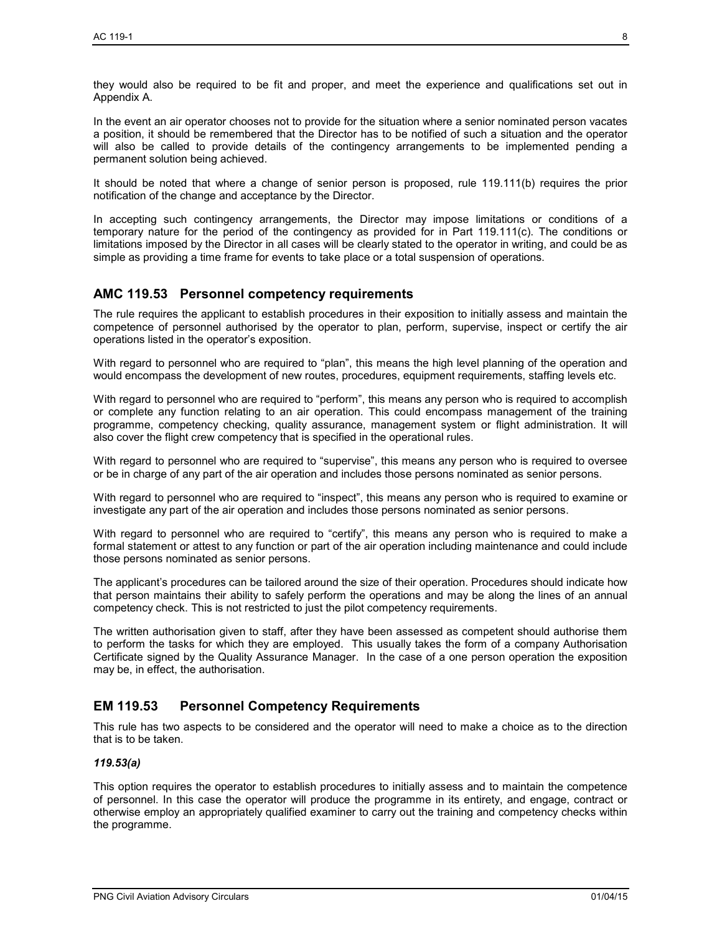they would also be required to be fit and proper, and meet the experience and qualifications set out in Appendix A.

In the event an air operator chooses not to provide for the situation where a senior nominated person vacates a position, it should be remembered that the Director has to be notified of such a situation and the operator will also be called to provide details of the contingency arrangements to be implemented pending a permanent solution being achieved.

It should be noted that where a change of senior person is proposed, rule 119.111(b) requires the prior notification of the change and acceptance by the Director.

In accepting such contingency arrangements, the Director may impose limitations or conditions of a temporary nature for the period of the contingency as provided for in Part 119.111(c). The conditions or limitations imposed by the Director in all cases will be clearly stated to the operator in writing, and could be as simple as providing a time frame for events to take place or a total suspension of operations.

# **AMC 119.53 Personnel competency requirements**

The rule requires the applicant to establish procedures in their exposition to initially assess and maintain the competence of personnel authorised by the operator to plan, perform, supervise, inspect or certify the air operations listed in the operator's exposition.

With regard to personnel who are required to "plan", this means the high level planning of the operation and would encompass the development of new routes, procedures, equipment requirements, staffing levels etc.

With regard to personnel who are required to "perform", this means any person who is required to accomplish or complete any function relating to an air operation. This could encompass management of the training programme, competency checking, quality assurance, management system or flight administration. It will also cover the flight crew competency that is specified in the operational rules.

With regard to personnel who are required to "supervise", this means any person who is required to oversee or be in charge of any part of the air operation and includes those persons nominated as senior persons.

With regard to personnel who are required to "inspect", this means any person who is required to examine or investigate any part of the air operation and includes those persons nominated as senior persons.

With regard to personnel who are required to "certify", this means any person who is required to make a formal statement or attest to any function or part of the air operation including maintenance and could include those persons nominated as senior persons.

The applicant's procedures can be tailored around the size of their operation. Procedures should indicate how that person maintains their ability to safely perform the operations and may be along the lines of an annual competency check. This is not restricted to just the pilot competency requirements.

The written authorisation given to staff, after they have been assessed as competent should authorise them to perform the tasks for which they are employed. This usually takes the form of a company Authorisation Certificate signed by the Quality Assurance Manager. In the case of a one person operation the exposition may be, in effect, the authorisation.

# **EM 119.53 Personnel Competency Requirements**

This rule has two aspects to be considered and the operator will need to make a choice as to the direction that is to be taken.

#### *119.53(a)*

This option requires the operator to establish procedures to initially assess and to maintain the competence of personnel. In this case the operator will produce the programme in its entirety, and engage, contract or otherwise employ an appropriately qualified examiner to carry out the training and competency checks within the programme.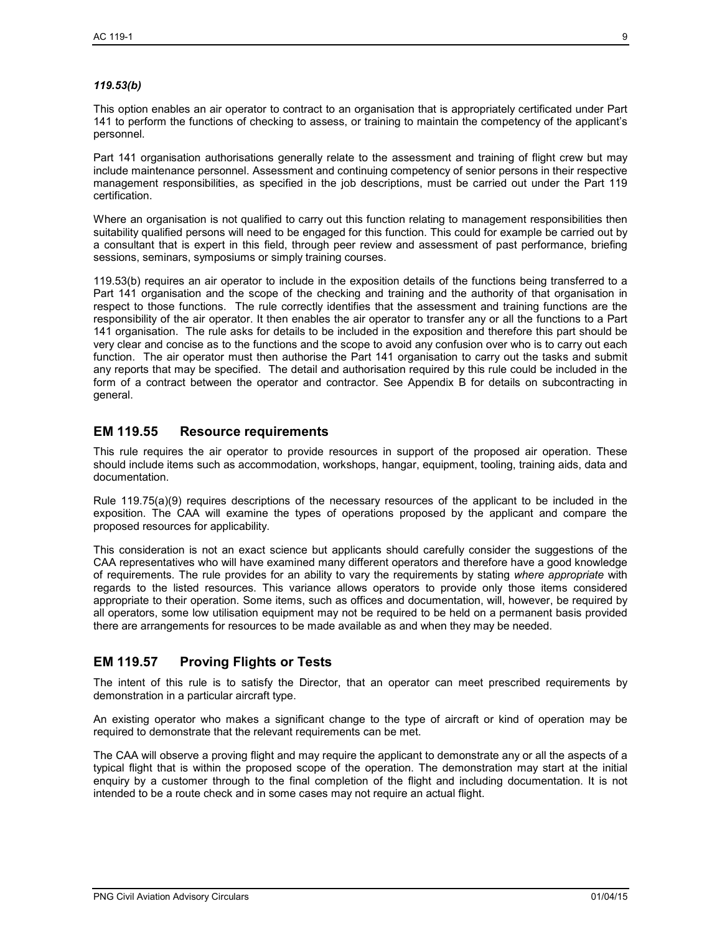#### *119.53(b)*

This option enables an air operator to contract to an organisation that is appropriately certificated under Part 141 to perform the functions of checking to assess, or training to maintain the competency of the applicant's personnel.

Part 141 organisation authorisations generally relate to the assessment and training of flight crew but may include maintenance personnel. Assessment and continuing competency of senior persons in their respective management responsibilities, as specified in the job descriptions, must be carried out under the Part 119 certification.

Where an organisation is not qualified to carry out this function relating to management responsibilities then suitability qualified persons will need to be engaged for this function. This could for example be carried out by a consultant that is expert in this field, through peer review and assessment of past performance, briefing sessions, seminars, symposiums or simply training courses.

119.53(b) requires an air operator to include in the exposition details of the functions being transferred to a Part 141 organisation and the scope of the checking and training and the authority of that organisation in respect to those functions. The rule correctly identifies that the assessment and training functions are the responsibility of the air operator. It then enables the air operator to transfer any or all the functions to a Part 141 organisation. The rule asks for details to be included in the exposition and therefore this part should be very clear and concise as to the functions and the scope to avoid any confusion over who is to carry out each function. The air operator must then authorise the Part 141 organisation to carry out the tasks and submit any reports that may be specified. The detail and authorisation required by this rule could be included in the form of a contract between the operator and contractor. See Appendix B for details on subcontracting in general.

## **EM 119.55 Resource requirements**

This rule requires the air operator to provide resources in support of the proposed air operation. These should include items such as accommodation, workshops, hangar, equipment, tooling, training aids, data and documentation.

Rule 119.75(a)(9) requires descriptions of the necessary resources of the applicant to be included in the exposition. The CAA will examine the types of operations proposed by the applicant and compare the proposed resources for applicability.

This consideration is not an exact science but applicants should carefully consider the suggestions of the CAA representatives who will have examined many different operators and therefore have a good knowledge of requirements. The rule provides for an ability to vary the requirements by stating *where appropriate* with regards to the listed resources. This variance allows operators to provide only those items considered appropriate to their operation. Some items, such as offices and documentation, will, however, be required by all operators, some low utilisation equipment may not be required to be held on a permanent basis provided there are arrangements for resources to be made available as and when they may be needed.

# **EM 119.57 Proving Flights or Tests**

The intent of this rule is to satisfy the Director, that an operator can meet prescribed requirements by demonstration in a particular aircraft type.

An existing operator who makes a significant change to the type of aircraft or kind of operation may be required to demonstrate that the relevant requirements can be met.

The CAA will observe a proving flight and may require the applicant to demonstrate any or all the aspects of a typical flight that is within the proposed scope of the operation. The demonstration may start at the initial enquiry by a customer through to the final completion of the flight and including documentation. It is not intended to be a route check and in some cases may not require an actual flight.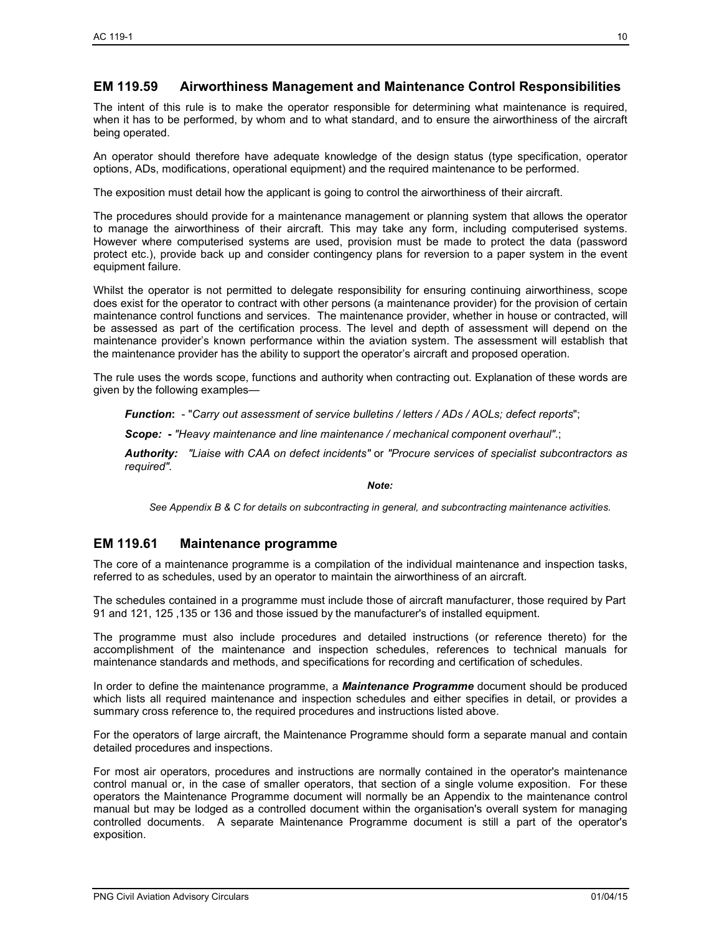# **EM 119.59 Airworthiness Management and Maintenance Control Responsibilities**

The intent of this rule is to make the operator responsible for determining what maintenance is required, when it has to be performed, by whom and to what standard, and to ensure the airworthiness of the aircraft being operated.

An operator should therefore have adequate knowledge of the design status (type specification, operator options, ADs, modifications, operational equipment) and the required maintenance to be performed.

The exposition must detail how the applicant is going to control the airworthiness of their aircraft.

The procedures should provide for a maintenance management or planning system that allows the operator to manage the airworthiness of their aircraft. This may take any form, including computerised systems. However where computerised systems are used, provision must be made to protect the data (password protect etc.), provide back up and consider contingency plans for reversion to a paper system in the event equipment failure.

Whilst the operator is not permitted to delegate responsibility for ensuring continuing airworthiness, scope does exist for the operator to contract with other persons (a maintenance provider) for the provision of certain maintenance control functions and services. The maintenance provider, whether in house or contracted, will be assessed as part of the certification process. The level and depth of assessment will depend on the maintenance provider's known performance within the aviation system. The assessment will establish that the maintenance provider has the ability to support the operator's aircraft and proposed operation.

The rule uses the words scope, functions and authority when contracting out. Explanation of these words are given by the following examples—

*Function***:** - "*Carry out assessment of service bulletins / letters / ADs / AOLs; defect reports*";

*Scope:* **-** *"Heavy maintenance and line maintenance / mechanical component overhaul"*.;

*Authority: "Liaise with CAA on defect incidents"* or *"Procure services of specialist subcontractors as required".*

#### *Note:*

*See Appendix B & C for details on subcontracting in general, and subcontracting maintenance activities.* 

### **EM 119.61 Maintenance programme**

The core of a maintenance programme is a compilation of the individual maintenance and inspection tasks, referred to as schedules, used by an operator to maintain the airworthiness of an aircraft.

The schedules contained in a programme must include those of aircraft manufacturer, those required by Part 91 and 121, 125 ,135 or 136 and those issued by the manufacturer's of installed equipment.

The programme must also include procedures and detailed instructions (or reference thereto) for the accomplishment of the maintenance and inspection schedules, references to technical manuals for maintenance standards and methods, and specifications for recording and certification of schedules.

In order to define the maintenance programme, a *Maintenance Programme* document should be produced which lists all required maintenance and inspection schedules and either specifies in detail, or provides a summary cross reference to, the required procedures and instructions listed above.

For the operators of large aircraft, the Maintenance Programme should form a separate manual and contain detailed procedures and inspections.

For most air operators, procedures and instructions are normally contained in the operator's maintenance control manual or, in the case of smaller operators, that section of a single volume exposition. For these operators the Maintenance Programme document will normally be an Appendix to the maintenance control manual but may be lodged as a controlled document within the organisation's overall system for managing controlled documents. A separate Maintenance Programme document is still a part of the operator's exposition.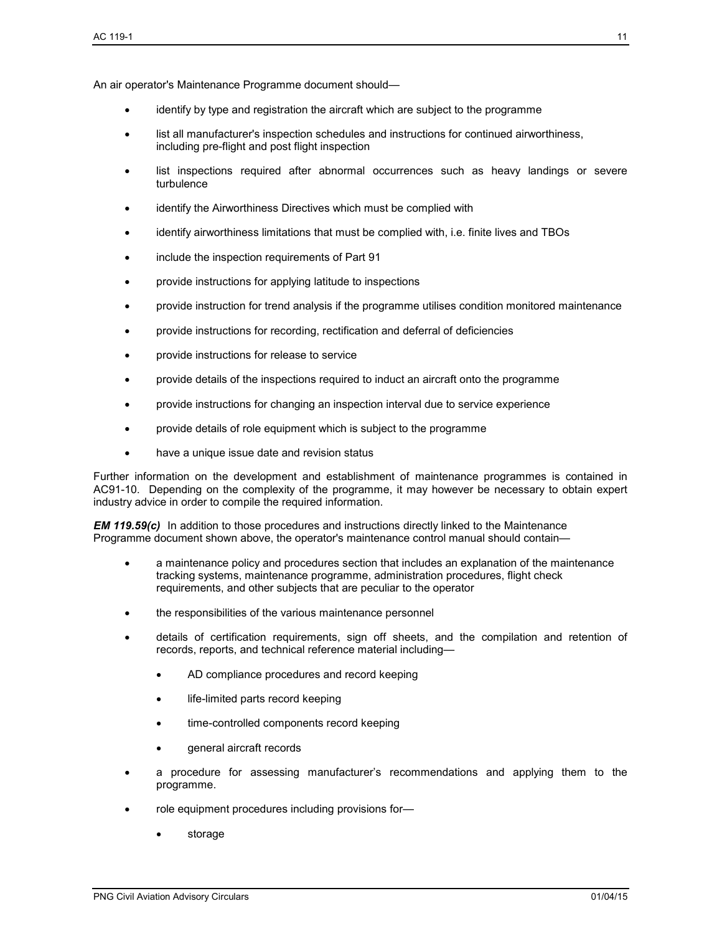An air operator's Maintenance Programme document should—

- identify by type and registration the aircraft which are subject to the programme
- list all manufacturer's inspection schedules and instructions for continued airworthiness, including pre-flight and post flight inspection
- list inspections required after abnormal occurrences such as heavy landings or severe turbulence
- identify the Airworthiness Directives which must be complied with
- identify airworthiness limitations that must be complied with, i.e. finite lives and TBOs
- include the inspection requirements of Part 91
- provide instructions for applying latitude to inspections
- provide instruction for trend analysis if the programme utilises condition monitored maintenance
- provide instructions for recording, rectification and deferral of deficiencies
- provide instructions for release to service
- provide details of the inspections required to induct an aircraft onto the programme
- provide instructions for changing an inspection interval due to service experience
- provide details of role equipment which is subject to the programme
- have a unique issue date and revision status

Further information on the development and establishment of maintenance programmes is contained in AC91-10. Depending on the complexity of the programme, it may however be necessary to obtain expert industry advice in order to compile the required information.

*EM 119.59(c)* In addition to those procedures and instructions directly linked to the Maintenance Programme document shown above, the operator's maintenance control manual should contain—

- a maintenance policy and procedures section that includes an explanation of the maintenance tracking systems, maintenance programme, administration procedures, flight check requirements, and other subjects that are peculiar to the operator
- the responsibilities of the various maintenance personnel
- details of certification requirements, sign off sheets, and the compilation and retention of records, reports, and technical reference material including—
	- AD compliance procedures and record keeping
	- life-limited parts record keeping
	- time-controlled components record keeping
	- general aircraft records
- a procedure for assessing manufacturer's recommendations and applying them to the programme.
- role equipment procedures including provisions for—
	- storage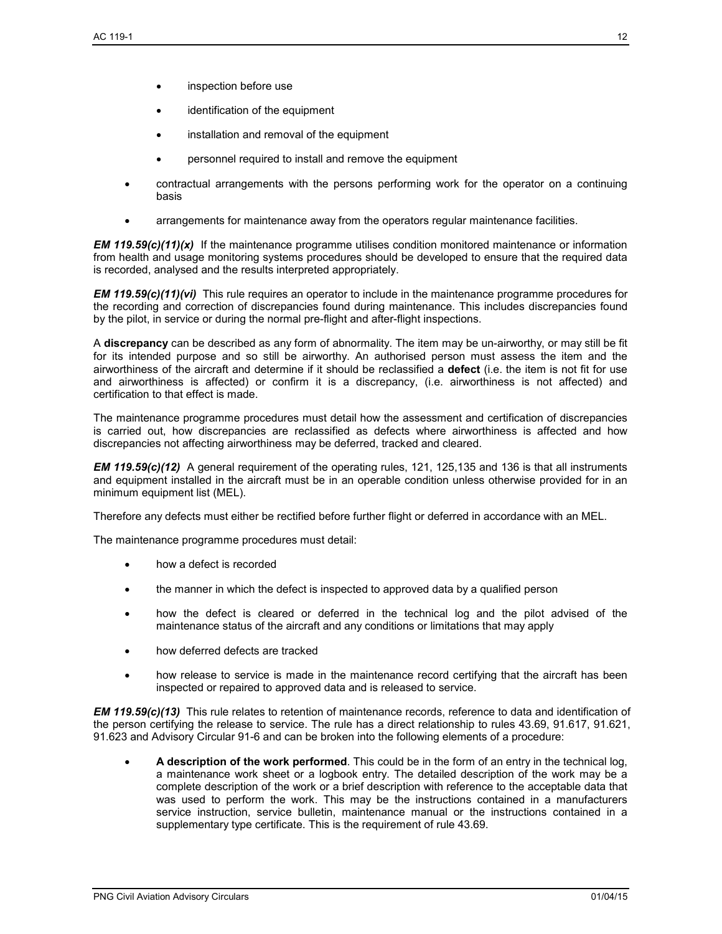- inspection before use
- identification of the equipment
- installation and removal of the equipment
- personnel required to install and remove the equipment
- contractual arrangements with the persons performing work for the operator on a continuing basis
- arrangements for maintenance away from the operators regular maintenance facilities.

*EM 119.59(c)(11)(x)* If the maintenance programme utilises condition monitored maintenance or information from health and usage monitoring systems procedures should be developed to ensure that the required data is recorded, analysed and the results interpreted appropriately.

*EM 119.59(c)(11)(vi)* This rule requires an operator to include in the maintenance programme procedures for the recording and correction of discrepancies found during maintenance. This includes discrepancies found by the pilot, in service or during the normal pre-flight and after-flight inspections.

A **discrepancy** can be described as any form of abnormality. The item may be un-airworthy, or may still be fit for its intended purpose and so still be airworthy. An authorised person must assess the item and the airworthiness of the aircraft and determine if it should be reclassified a **defect** (i.e. the item is not fit for use and airworthiness is affected) or confirm it is a discrepancy, (i.e. airworthiness is not affected) and certification to that effect is made.

The maintenance programme procedures must detail how the assessment and certification of discrepancies is carried out, how discrepancies are reclassified as defects where airworthiness is affected and how discrepancies not affecting airworthiness may be deferred, tracked and cleared.

*EM 119.59(c)(12)* A general requirement of the operating rules, 121, 125,135 and 136 is that all instruments and equipment installed in the aircraft must be in an operable condition unless otherwise provided for in an minimum equipment list (MEL).

Therefore any defects must either be rectified before further flight or deferred in accordance with an MEL.

The maintenance programme procedures must detail:

- how a defect is recorded
- the manner in which the defect is inspected to approved data by a qualified person
- how the defect is cleared or deferred in the technical log and the pilot advised of the maintenance status of the aircraft and any conditions or limitations that may apply
- how deferred defects are tracked
- how release to service is made in the maintenance record certifying that the aircraft has been inspected or repaired to approved data and is released to service.

*EM 119.59(c)(13)* This rule relates to retention of maintenance records, reference to data and identification of the person certifying the release to service. The rule has a direct relationship to rules 43.69, 91.617, 91.621, 91.623 and Advisory Circular 91-6 and can be broken into the following elements of a procedure:

• **A description of the work performed**. This could be in the form of an entry in the technical log, a maintenance work sheet or a logbook entry. The detailed description of the work may be a complete description of the work or a brief description with reference to the acceptable data that was used to perform the work. This may be the instructions contained in a manufacturers service instruction, service bulletin, maintenance manual or the instructions contained in a supplementary type certificate. This is the requirement of rule 43.69.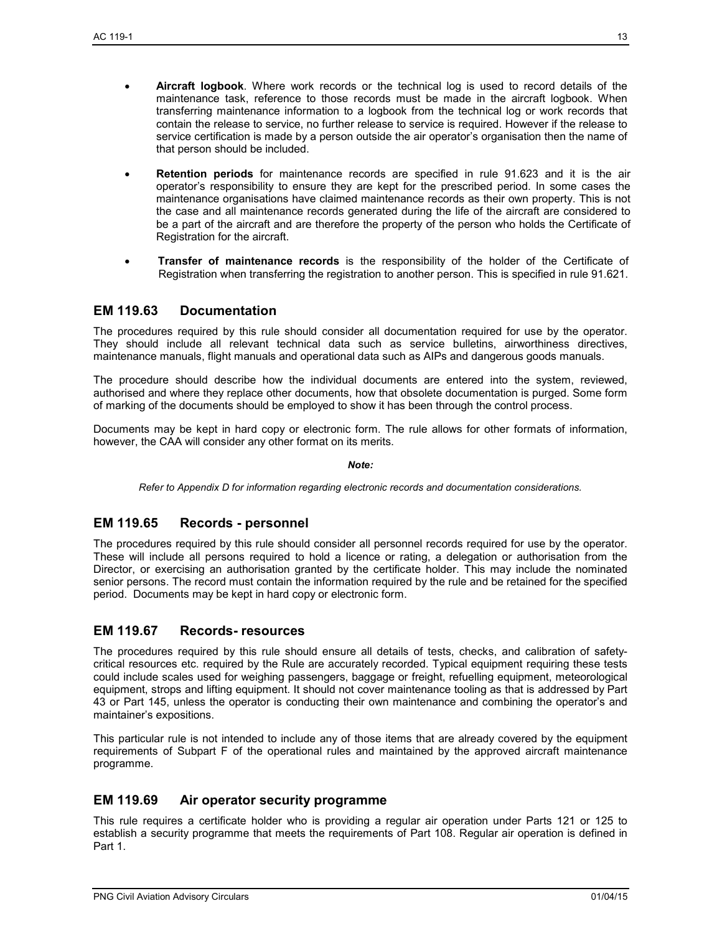- **Aircraft logbook**. Where work records or the technical log is used to record details of the maintenance task, reference to those records must be made in the aircraft logbook. When transferring maintenance information to a logbook from the technical log or work records that contain the release to service, no further release to service is required. However if the release to service certification is made by a person outside the air operator's organisation then the name of that person should be included.
- **Retention periods** for maintenance records are specified in rule 91.623 and it is the air operator's responsibility to ensure they are kept for the prescribed period. In some cases the maintenance organisations have claimed maintenance records as their own property. This is not the case and all maintenance records generated during the life of the aircraft are considered to be a part of the aircraft and are therefore the property of the person who holds the Certificate of Registration for the aircraft.
- **Transfer of maintenance records** is the responsibility of the holder of the Certificate of Registration when transferring the registration to another person. This is specified in rule 91.621.

# **EM 119.63 Documentation**

The procedures required by this rule should consider all documentation required for use by the operator. They should include all relevant technical data such as service bulletins, airworthiness directives, maintenance manuals, flight manuals and operational data such as AIPs and dangerous goods manuals.

The procedure should describe how the individual documents are entered into the system, reviewed, authorised and where they replace other documents, how that obsolete documentation is purged. Some form of marking of the documents should be employed to show it has been through the control process.

Documents may be kept in hard copy or electronic form. The rule allows for other formats of information, however, the CAA will consider any other format on its merits.

*Note:* 

*Refer to Appendix D for information regarding electronic records and documentation considerations.* 

# **EM 119.65 Records - personnel**

The procedures required by this rule should consider all personnel records required for use by the operator. These will include all persons required to hold a licence or rating, a delegation or authorisation from the Director, or exercising an authorisation granted by the certificate holder. This may include the nominated senior persons. The record must contain the information required by the rule and be retained for the specified period. Documents may be kept in hard copy or electronic form.

# **EM 119.67 Records- resources**

The procedures required by this rule should ensure all details of tests, checks, and calibration of safetycritical resources etc. required by the Rule are accurately recorded. Typical equipment requiring these tests could include scales used for weighing passengers, baggage or freight, refuelling equipment, meteorological equipment, strops and lifting equipment. It should not cover maintenance tooling as that is addressed by Part 43 or Part 145, unless the operator is conducting their own maintenance and combining the operator's and maintainer's expositions.

This particular rule is not intended to include any of those items that are already covered by the equipment requirements of Subpart F of the operational rules and maintained by the approved aircraft maintenance programme.

# **EM 119.69 Air operator security programme**

This rule requires a certificate holder who is providing a regular air operation under Parts 121 or 125 to establish a security programme that meets the requirements of Part 108. Regular air operation is defined in Part 1.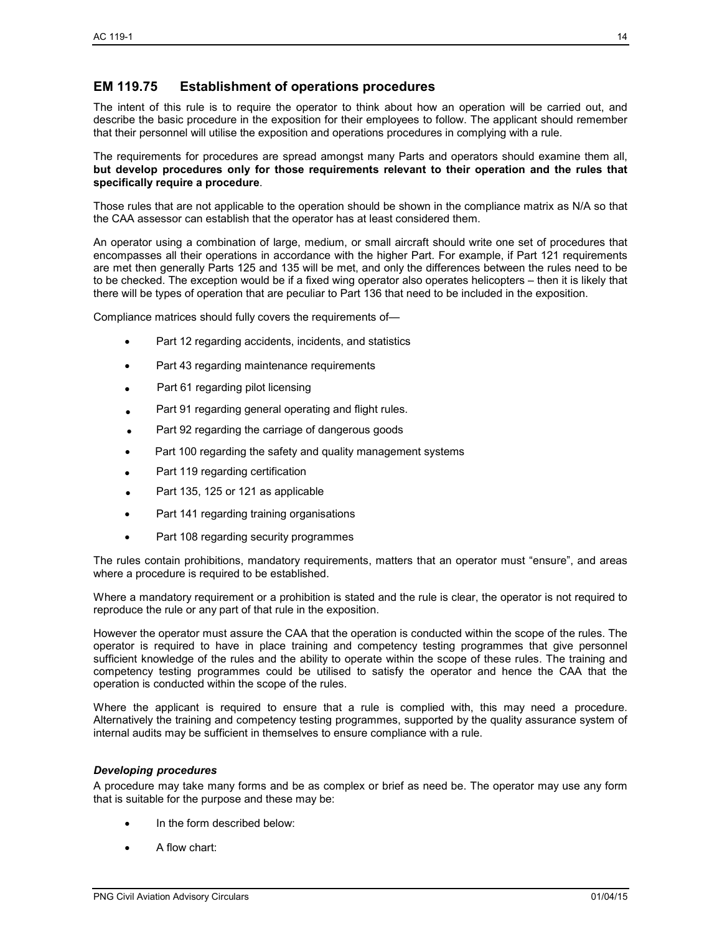# **EM 119.75 Establishment of operations procedures**

The intent of this rule is to require the operator to think about how an operation will be carried out, and describe the basic procedure in the exposition for their employees to follow. The applicant should remember that their personnel will utilise the exposition and operations procedures in complying with a rule.

The requirements for procedures are spread amongst many Parts and operators should examine them all, **but develop procedures only for those requirements relevant to their operation and the rules that specifically require a procedure**.

Those rules that are not applicable to the operation should be shown in the compliance matrix as N/A so that the CAA assessor can establish that the operator has at least considered them.

An operator using a combination of large, medium, or small aircraft should write one set of procedures that encompasses all their operations in accordance with the higher Part. For example, if Part 121 requirements are met then generally Parts 125 and 135 will be met, and only the differences between the rules need to be to be checked. The exception would be if a fixed wing operator also operates helicopters – then it is likely that there will be types of operation that are peculiar to Part 136 that need to be included in the exposition.

Compliance matrices should fully covers the requirements of—

- Part 12 regarding accidents, incidents, and statistics
- Part 43 regarding maintenance requirements
- Part 61 regarding pilot licensing
- Part 91 regarding general operating and flight rules.
- Part 92 regarding the carriage of dangerous goods
- Part 100 regarding the safety and quality management systems
- Part 119 regarding certification
- Part 135, 125 or 121 as applicable
- Part 141 regarding training organisations
- Part 108 regarding security programmes

The rules contain prohibitions, mandatory requirements, matters that an operator must "ensure", and areas where a procedure is required to be established.

Where a mandatory requirement or a prohibition is stated and the rule is clear, the operator is not required to reproduce the rule or any part of that rule in the exposition.

However the operator must assure the CAA that the operation is conducted within the scope of the rules. The operator is required to have in place training and competency testing programmes that give personnel sufficient knowledge of the rules and the ability to operate within the scope of these rules. The training and competency testing programmes could be utilised to satisfy the operator and hence the CAA that the operation is conducted within the scope of the rules.

Where the applicant is required to ensure that a rule is complied with, this may need a procedure. Alternatively the training and competency testing programmes, supported by the quality assurance system of internal audits may be sufficient in themselves to ensure compliance with a rule.

#### *Developing procedures*

A procedure may take many forms and be as complex or brief as need be. The operator may use any form that is suitable for the purpose and these may be:

- In the form described below:
- A flow chart: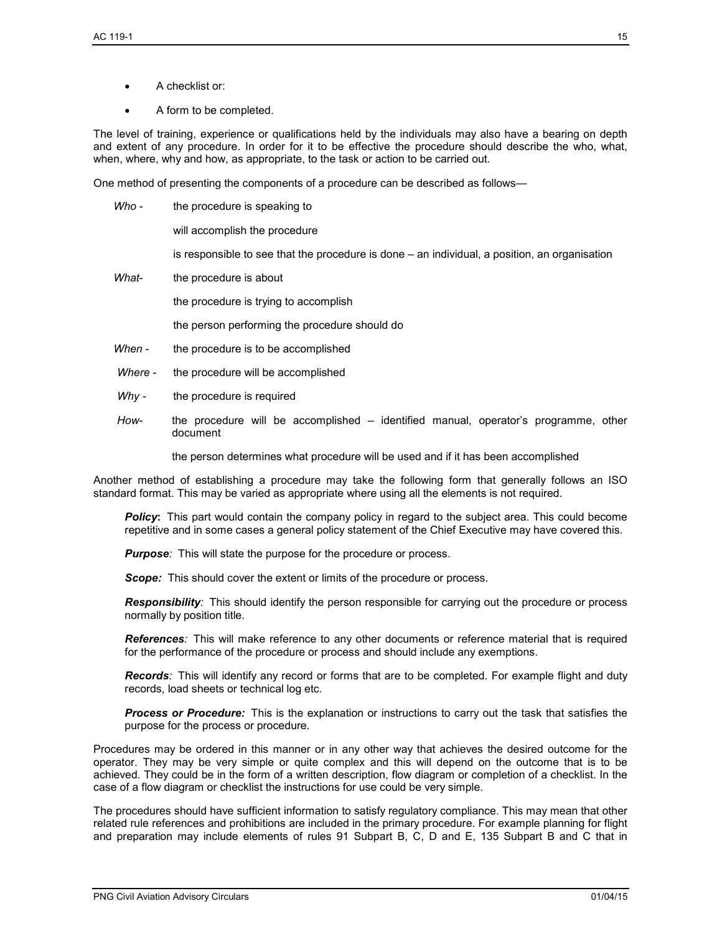- A checklist or:
- A form to be completed.

The level of training, experience or qualifications held by the individuals may also have a bearing on depth and extent of any procedure. In order for it to be effective the procedure should describe the who, what, when, where, why and how, as appropriate, to the task or action to be carried out.

One method of presenting the components of a procedure can be described as follows—

| Who - | the procedure is speaking to                                                                  |
|-------|-----------------------------------------------------------------------------------------------|
|       | will accomplish the procedure                                                                 |
|       | is responsible to see that the procedure is done – an individual, a position, an organisation |
| What- | the procedure is about                                                                        |
|       | the procedure is trying to accomplish                                                         |
|       | the person performing the procedure should do                                                 |
|       |                                                                                               |

- *When* the procedure is to be accomplished
- *Where* the procedure will be accomplished
- *Why*  the procedure is required
- *How* the procedure will be accomplished identified manual, operator's programme, other document

the person determines what procedure will be used and if it has been accomplished

Another method of establishing a procedure may take the following form that generally follows an ISO standard format. This may be varied as appropriate where using all the elements is not required.

**Policy:** This part would contain the company policy in regard to the subject area. This could become repetitive and in some cases a general policy statement of the Chief Executive may have covered this.

**Purpose**: This will state the purpose for the procedure or process.

**Scope:** This should cover the extent or limits of the procedure or process.

*Responsibility:* This should identify the person responsible for carrying out the procedure or process normally by position title.

*References:*This will make reference to any other documents or reference material that is required for the performance of the procedure or process and should include any exemptions.

*Records:*This will identify any record or forms that are to be completed. For example flight and duty records, load sheets or technical log etc.

*Process or Procedure:*This is the explanation or instructions to carry out the task that satisfies the purpose for the process or procedure.

Procedures may be ordered in this manner or in any other way that achieves the desired outcome for the operator. They may be very simple or quite complex and this will depend on the outcome that is to be achieved. They could be in the form of a written description, flow diagram or completion of a checklist. In the case of a flow diagram or checklist the instructions for use could be very simple.

The procedures should have sufficient information to satisfy regulatory compliance. This may mean that other related rule references and prohibitions are included in the primary procedure. For example planning for flight and preparation may include elements of rules 91 Subpart B, C, D and E, 135 Subpart B and C that in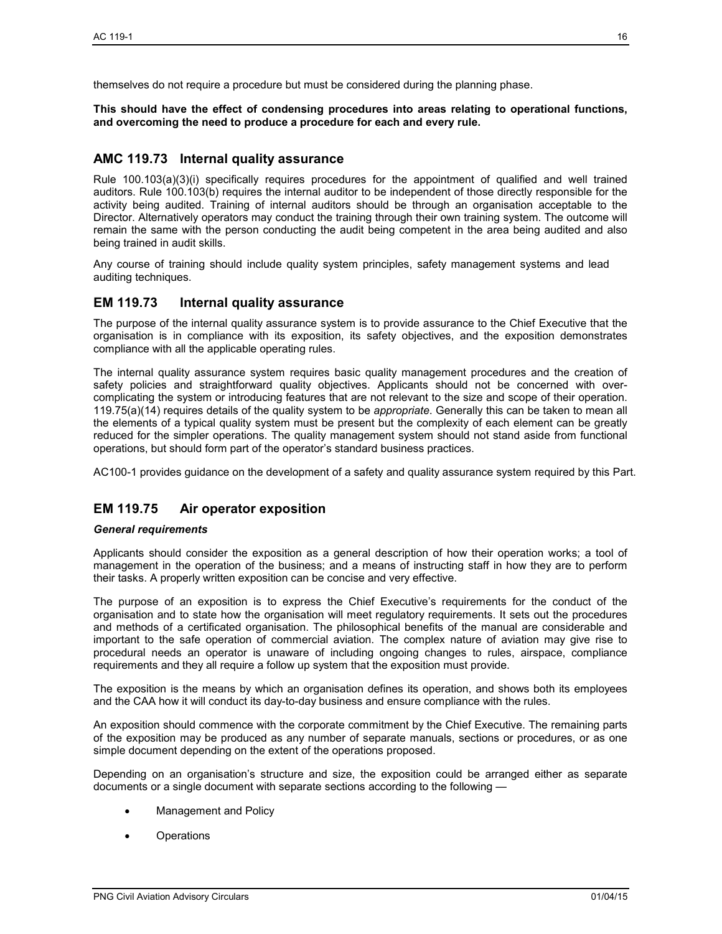themselves do not require a procedure but must be considered during the planning phase.

**This should have the effect of condensing procedures into areas relating to operational functions, and overcoming the need to produce a procedure for each and every rule.** 

# **AMC 119.73 Internal quality assurance**

Rule 100.103(a)(3)(i) specifically requires procedures for the appointment of qualified and well trained auditors. Rule 100.103(b) requires the internal auditor to be independent of those directly responsible for the activity being audited. Training of internal auditors should be through an organisation acceptable to the Director. Alternatively operators may conduct the training through their own training system. The outcome will remain the same with the person conducting the audit being competent in the area being audited and also being trained in audit skills.

Any course of training should include quality system principles, safety management systems and lead auditing techniques.

### **EM 119.73 Internal quality assurance**

The purpose of the internal quality assurance system is to provide assurance to the Chief Executive that the organisation is in compliance with its exposition, its safety objectives, and the exposition demonstrates compliance with all the applicable operating rules.

The internal quality assurance system requires basic quality management procedures and the creation of safety policies and straightforward quality objectives. Applicants should not be concerned with overcomplicating the system or introducing features that are not relevant to the size and scope of their operation. 119.75(a)(14) requires details of the quality system to be *appropriate*. Generally this can be taken to mean all the elements of a typical quality system must be present but the complexity of each element can be greatly reduced for the simpler operations. The quality management system should not stand aside from functional operations, but should form part of the operator's standard business practices.

AC100-1 provides guidance on the development of a safety and quality assurance system required by this Part.

# **EM 119.75 Air operator exposition**

#### *General requirements*

Applicants should consider the exposition as a general description of how their operation works; a tool of management in the operation of the business; and a means of instructing staff in how they are to perform their tasks. A properly written exposition can be concise and very effective.

The purpose of an exposition is to express the Chief Executive's requirements for the conduct of the organisation and to state how the organisation will meet regulatory requirements. It sets out the procedures and methods of a certificated organisation. The philosophical benefits of the manual are considerable and important to the safe operation of commercial aviation. The complex nature of aviation may give rise to procedural needs an operator is unaware of including ongoing changes to rules, airspace, compliance requirements and they all require a follow up system that the exposition must provide.

The exposition is the means by which an organisation defines its operation, and shows both its employees and the CAA how it will conduct its day-to-day business and ensure compliance with the rules.

An exposition should commence with the corporate commitment by the Chief Executive. The remaining parts of the exposition may be produced as any number of separate manuals, sections or procedures, or as one simple document depending on the extent of the operations proposed.

Depending on an organisation's structure and size, the exposition could be arranged either as separate documents or a single document with separate sections according to the following —

- Management and Policy
- **Operations**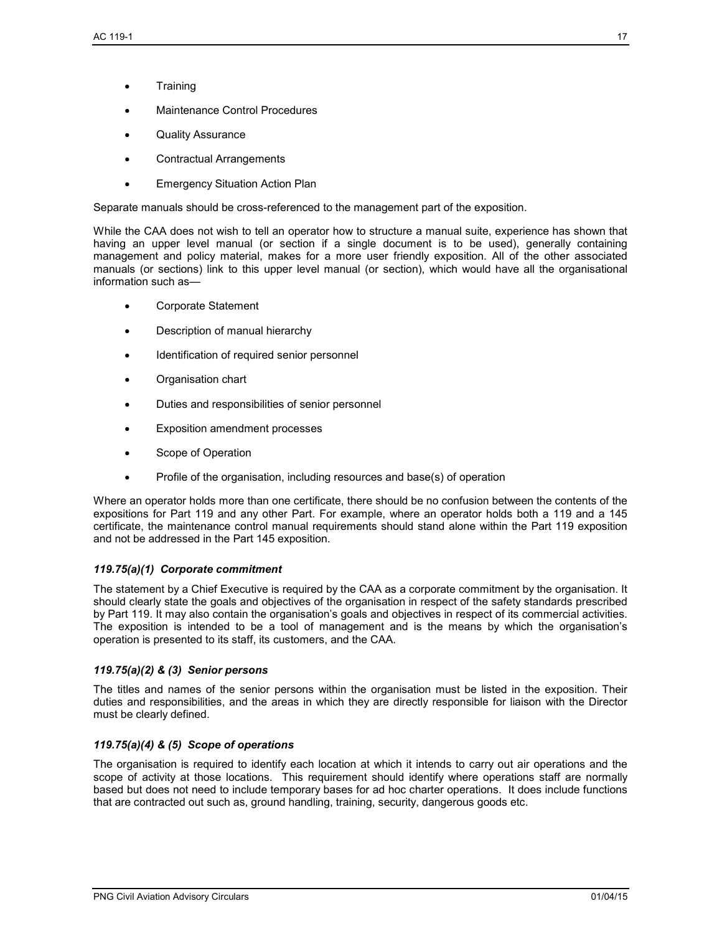- **Training**
- Maintenance Control Procedures
- Quality Assurance
- Contractual Arrangements
- Emergency Situation Action Plan

Separate manuals should be cross-referenced to the management part of the exposition.

While the CAA does not wish to tell an operator how to structure a manual suite, experience has shown that having an upper level manual (or section if a single document is to be used), generally containing management and policy material, makes for a more user friendly exposition. All of the other associated manuals (or sections) link to this upper level manual (or section), which would have all the organisational information such as—

- Corporate Statement
- Description of manual hierarchy
- Identification of required senior personnel
- Organisation chart
- Duties and responsibilities of senior personnel
- Exposition amendment processes
- Scope of Operation
- Profile of the organisation, including resources and base(s) of operation

Where an operator holds more than one certificate, there should be no confusion between the contents of the expositions for Part 119 and any other Part. For example, where an operator holds both a 119 and a 145 certificate, the maintenance control manual requirements should stand alone within the Part 119 exposition and not be addressed in the Part 145 exposition.

#### *119.75(a)(1) Corporate commitment*

The statement by a Chief Executive is required by the CAA as a corporate commitment by the organisation. It should clearly state the goals and objectives of the organisation in respect of the safety standards prescribed by Part 119. It may also contain the organisation's goals and objectives in respect of its commercial activities. The exposition is intended to be a tool of management and is the means by which the organisation's operation is presented to its staff, its customers, and the CAA.

#### *119.75(a)(2) & (3) Senior persons*

The titles and names of the senior persons within the organisation must be listed in the exposition. Their duties and responsibilities, and the areas in which they are directly responsible for liaison with the Director must be clearly defined.

#### *119.75(a)(4) & (5) Scope of operations*

The organisation is required to identify each location at which it intends to carry out air operations and the scope of activity at those locations. This requirement should identify where operations staff are normally based but does not need to include temporary bases for ad hoc charter operations. It does include functions that are contracted out such as, ground handling, training, security, dangerous goods etc.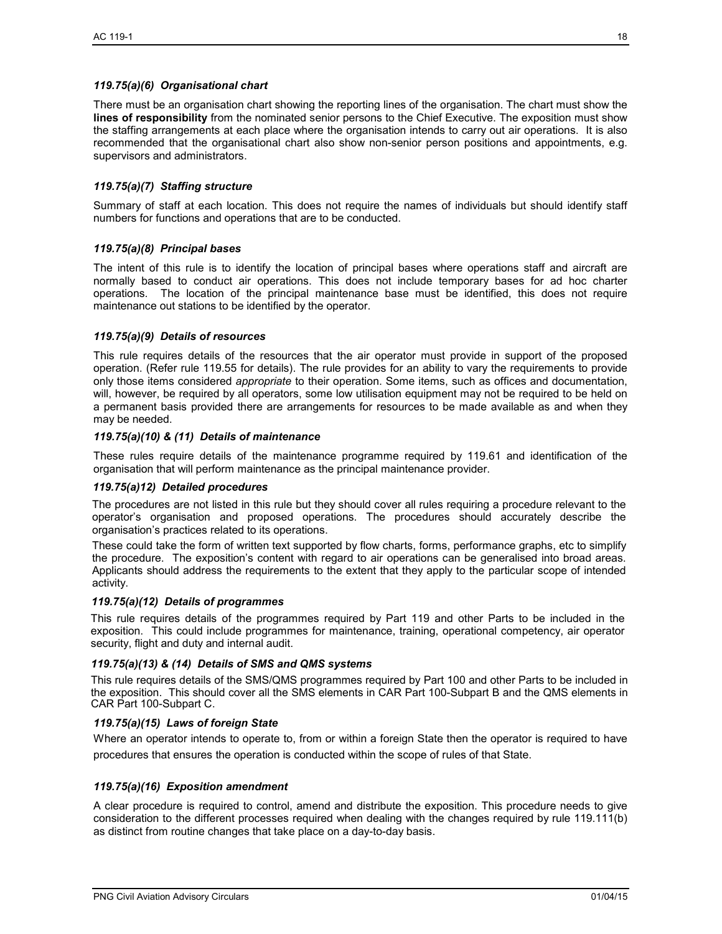#### *119.75(a)(6) Organisational chart*

There must be an organisation chart showing the reporting lines of the organisation. The chart must show the **lines of responsibility** from the nominated senior persons to the Chief Executive. The exposition must show the staffing arrangements at each place where the organisation intends to carry out air operations. It is also recommended that the organisational chart also show non-senior person positions and appointments, e.g. supervisors and administrators.

#### *119.75(a)(7) Staffing structure*

Summary of staff at each location. This does not require the names of individuals but should identify staff numbers for functions and operations that are to be conducted.

#### *119.75(a)(8) Principal bases*

The intent of this rule is to identify the location of principal bases where operations staff and aircraft are normally based to conduct air operations. This does not include temporary bases for ad hoc charter operations. The location of the principal maintenance base must be identified, this does not require maintenance out stations to be identified by the operator.

#### *119.75(a)(9) Details of resources*

This rule requires details of the resources that the air operator must provide in support of the proposed operation. (Refer rule 119.55 for details). The rule provides for an ability to vary the requirements to provide only those items considered *appropriate* to their operation. Some items, such as offices and documentation, will, however, be required by all operators, some low utilisation equipment may not be required to be held on a permanent basis provided there are arrangements for resources to be made available as and when they may be needed.

#### *119.75(a)(10) & (11) Details of maintenance*

These rules require details of the maintenance programme required by 119.61 and identification of the organisation that will perform maintenance as the principal maintenance provider.

#### *119.75(a)12) Detailed procedures*

The procedures are not listed in this rule but they should cover all rules requiring a procedure relevant to the operator's organisation and proposed operations. The procedures should accurately describe the organisation's practices related to its operations.

These could take the form of written text supported by flow charts, forms, performance graphs, etc to simplify the procedure. The exposition's content with regard to air operations can be generalised into broad areas. Applicants should address the requirements to the extent that they apply to the particular scope of intended activity.

#### *119.75(a)(12) Details of programmes*

This rule requires details of the programmes required by Part 119 and other Parts to be included in the exposition. This could include programmes for maintenance, training, operational competency, air operator security, flight and duty and internal audit.

#### *119.75(a)(13) & (14) Details of SMS and QMS systems*

This rule requires details of the SMS/QMS programmes required by Part 100 and other Parts to be included in the exposition. This should cover all the SMS elements in CAR Part 100-Subpart B and the QMS elements in CAR Part 100-Subpart C.

#### *119.75(a)(15) Laws of foreign State*

Where an operator intends to operate to, from or within a foreign State then the operator is required to have procedures that ensures the operation is conducted within the scope of rules of that State.

#### *119.75(a)(16) Exposition amendment*

A clear procedure is required to control, amend and distribute the exposition. This procedure needs to give consideration to the different processes required when dealing with the changes required by rule 119.111(b) as distinct from routine changes that take place on a day-to-day basis.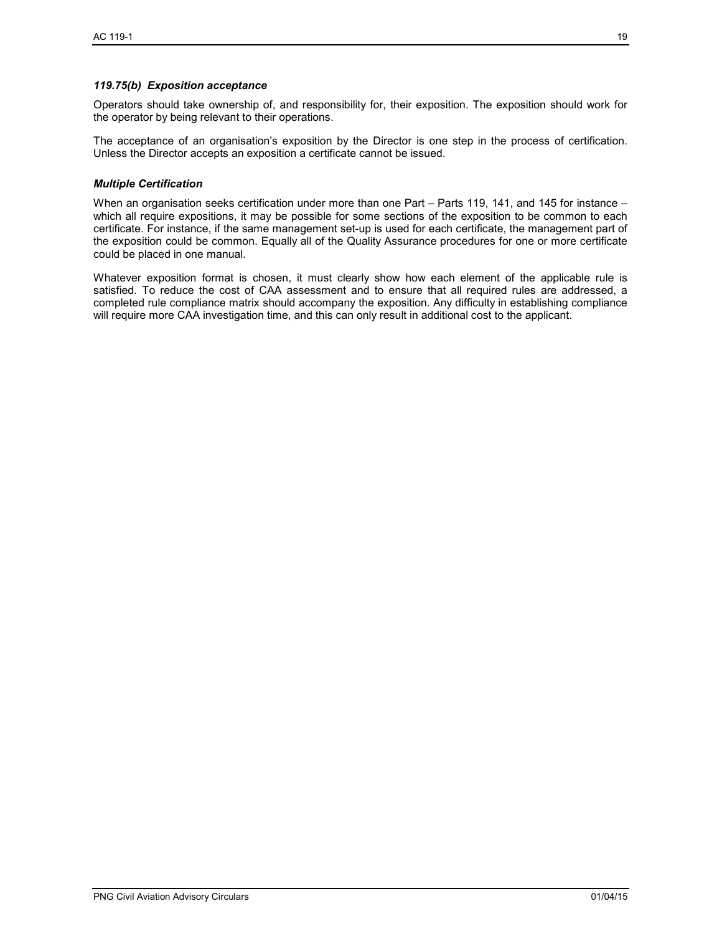#### *119.75(b) Exposition acceptance*

Operators should take ownership of, and responsibility for, their exposition. The exposition should work for the operator by being relevant to their operations.

The acceptance of an organisation's exposition by the Director is one step in the process of certification. Unless the Director accepts an exposition a certificate cannot be issued.

#### *Multiple Certification*

When an organisation seeks certification under more than one Part – Parts 119, 141, and 145 for instance – which all require expositions, it may be possible for some sections of the exposition to be common to each certificate. For instance, if the same management set-up is used for each certificate, the management part of the exposition could be common. Equally all of the Quality Assurance procedures for one or more certificate could be placed in one manual.

Whatever exposition format is chosen, it must clearly show how each element of the applicable rule is satisfied. To reduce the cost of CAA assessment and to ensure that all required rules are addressed, a completed rule compliance matrix should accompany the exposition. Any difficulty in establishing compliance will require more CAA investigation time, and this can only result in additional cost to the applicant.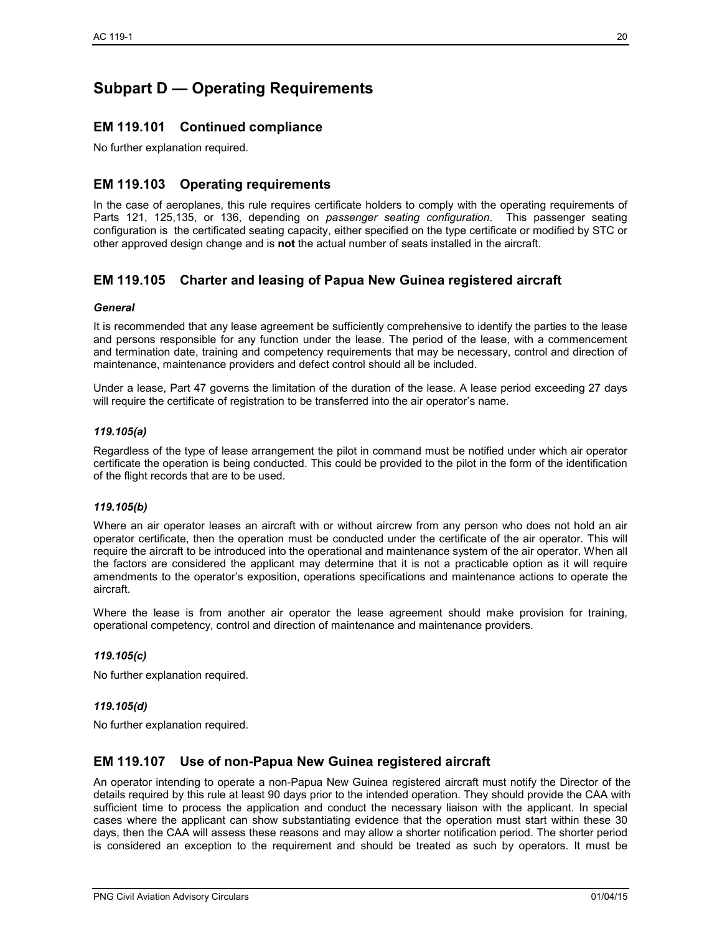# **Subpart D — Operating Requirements**

# **EM 119.101 Continued compliance**

No further explanation required.

# **EM 119.103 Operating requirements**

In the case of aeroplanes, this rule requires certificate holders to comply with the operating requirements of Parts 121, 125,135, or 136, depending on *passenger seating configuration*. This passenger seating configuration is the certificated seating capacity, either specified on the type certificate or modified by STC or other approved design change and is **not** the actual number of seats installed in the aircraft.

# **EM 119.105 Charter and leasing of Papua New Guinea registered aircraft**

#### *General*

It is recommended that any lease agreement be sufficiently comprehensive to identify the parties to the lease and persons responsible for any function under the lease. The period of the lease, with a commencement and termination date, training and competency requirements that may be necessary, control and direction of maintenance, maintenance providers and defect control should all be included.

Under a lease, Part 47 governs the limitation of the duration of the lease. A lease period exceeding 27 days will require the certificate of registration to be transferred into the air operator's name.

#### *119.105(a)*

Regardless of the type of lease arrangement the pilot in command must be notified under which air operator certificate the operation is being conducted. This could be provided to the pilot in the form of the identification of the flight records that are to be used.

#### *119.105(b)*

Where an air operator leases an aircraft with or without aircrew from any person who does not hold an air operator certificate, then the operation must be conducted under the certificate of the air operator. This will require the aircraft to be introduced into the operational and maintenance system of the air operator. When all the factors are considered the applicant may determine that it is not a practicable option as it will require amendments to the operator's exposition, operations specifications and maintenance actions to operate the aircraft.

Where the lease is from another air operator the lease agreement should make provision for training, operational competency, control and direction of maintenance and maintenance providers.

#### *119.105(c)*

No further explanation required.

#### *119.105(d)*

No further explanation required.

# **EM 119.107 Use of non-Papua New Guinea registered aircraft**

An operator intending to operate a non-Papua New Guinea registered aircraft must notify the Director of the details required by this rule at least 90 days prior to the intended operation. They should provide the CAA with sufficient time to process the application and conduct the necessary liaison with the applicant. In special cases where the applicant can show substantiating evidence that the operation must start within these 30 days, then the CAA will assess these reasons and may allow a shorter notification period. The shorter period is considered an exception to the requirement and should be treated as such by operators. It must be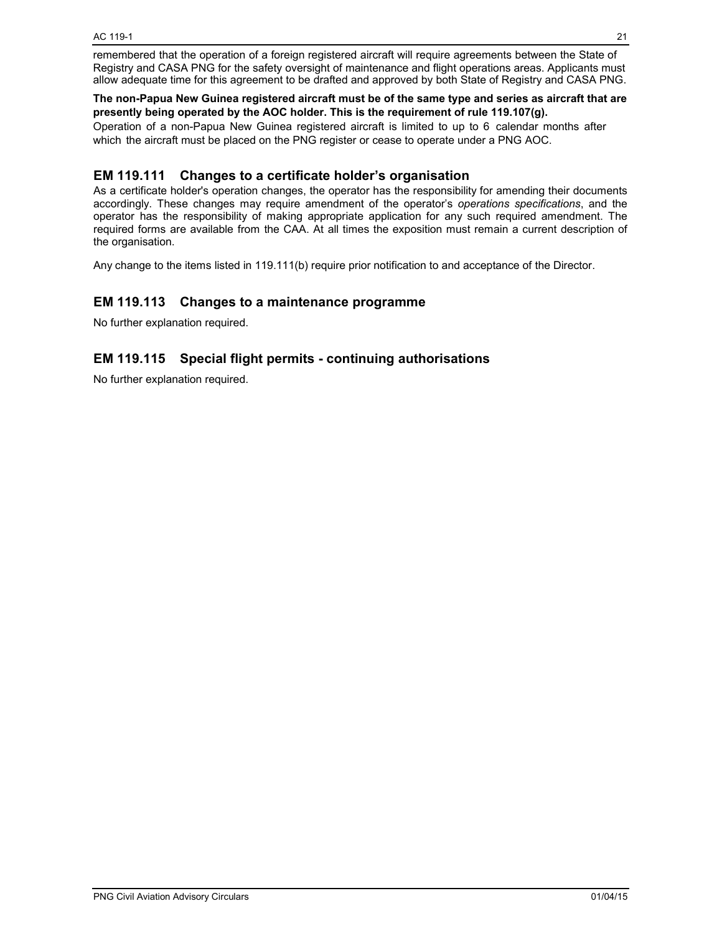remembered that the operation of a foreign registered aircraft will require agreements between the State of Registry and CASA PNG for the safety oversight of maintenance and flight operations areas. Applicants must allow adequate time for this agreement to be drafted and approved by both State of Registry and CASA PNG.

**The non-Papua New Guinea registered aircraft must be of the same type and series as aircraft that are presently being operated by the AOC holder. This is the requirement of rule 119.107(g).**

Operation of a non-Papua New Guinea registered aircraft is limited to up to 6 calendar months after which the aircraft must be placed on the PNG register or cease to operate under a PNG AOC.

# **EM 119.111 Changes to a certificate holder's organisation**

As a certificate holder's operation changes, the operator has the responsibility for amending their documents accordingly. These changes may require amendment of the operator's *operations specifications*, and the operator has the responsibility of making appropriate application for any such required amendment. The required forms are available from the CAA. At all times the exposition must remain a current description of the organisation.

Any change to the items listed in 119.111(b) require prior notification to and acceptance of the Director.

# **EM 119.113 Changes to a maintenance programme**

No further explanation required.

# **EM 119.115 Special flight permits - continuing authorisations**

No further explanation required.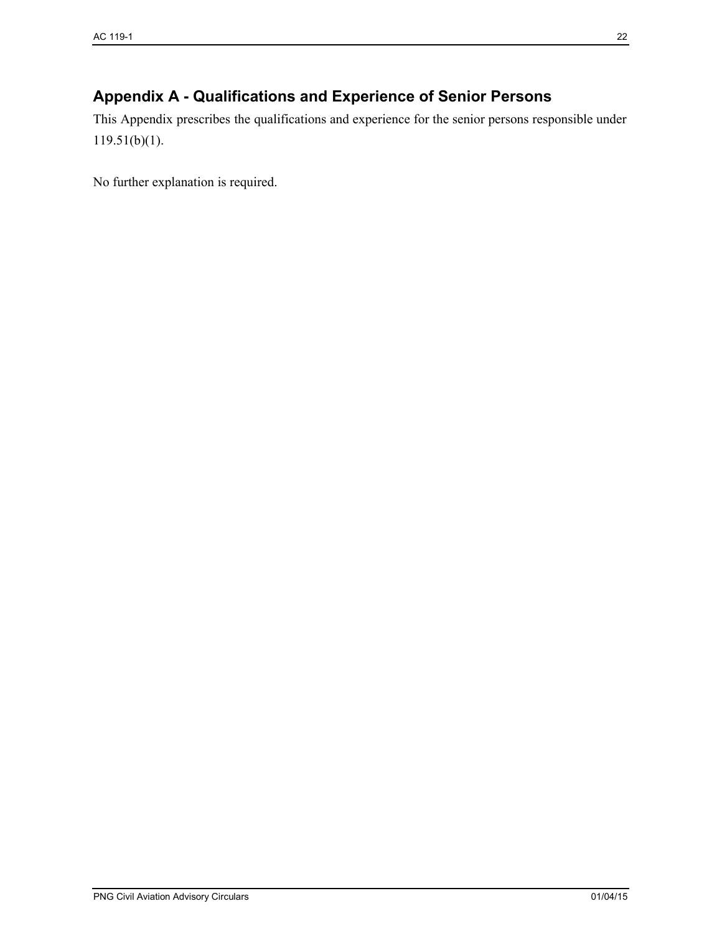# **Appendix A - Qualifications and Experience of Senior Persons**

This Appendix prescribes the qualifications and experience for the senior persons responsible under 119.51(b)(1).

No further explanation is required.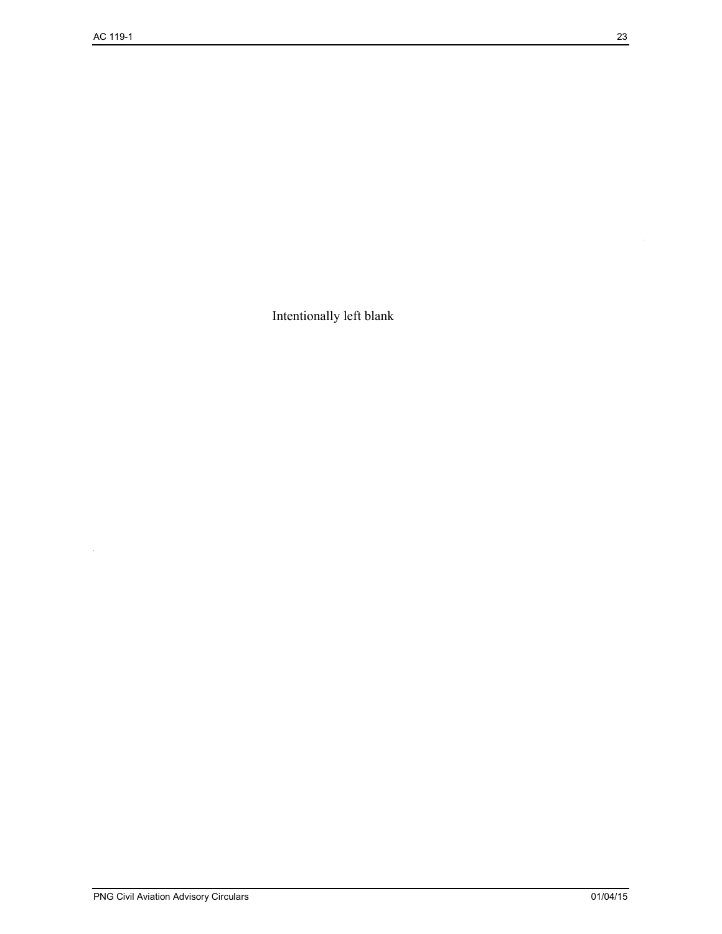J.

Intentionally left blank

l,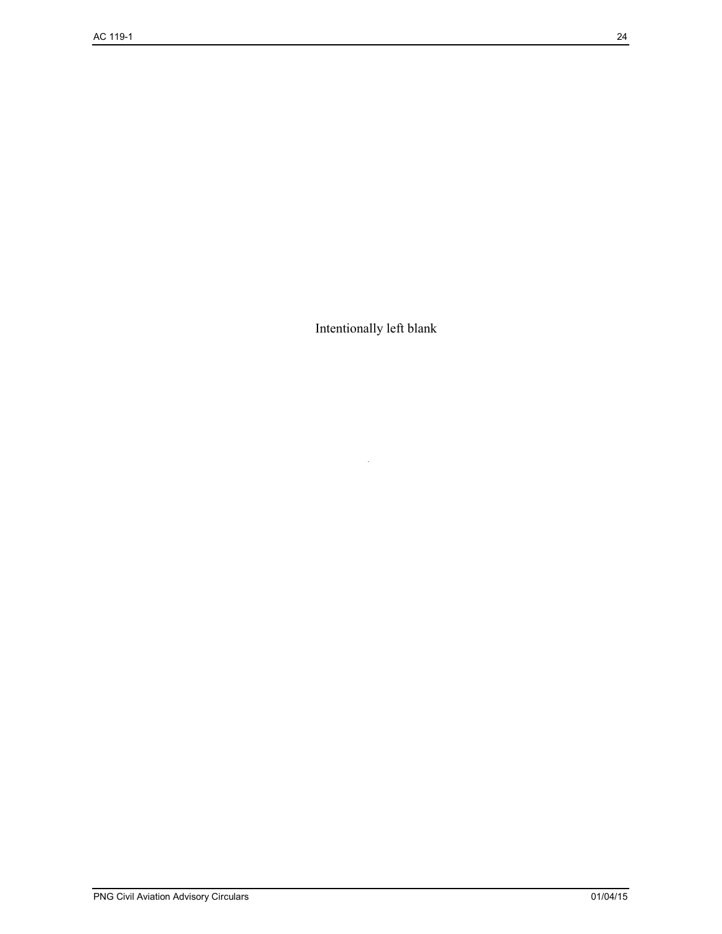Intentionally left blank

 $\cdot$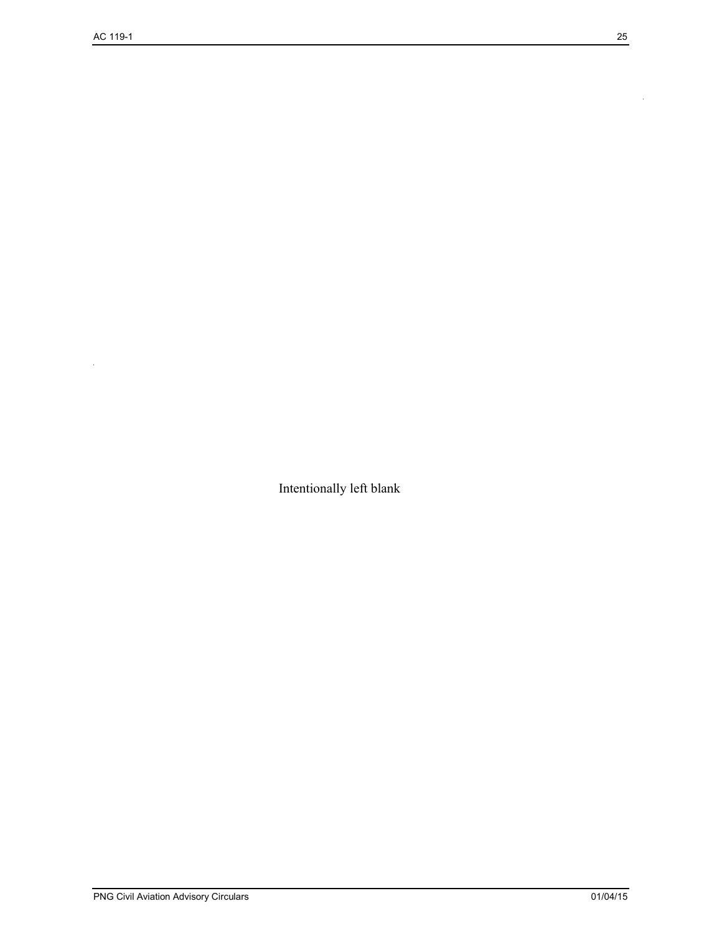Ŷ.

Intentionally left blank

i.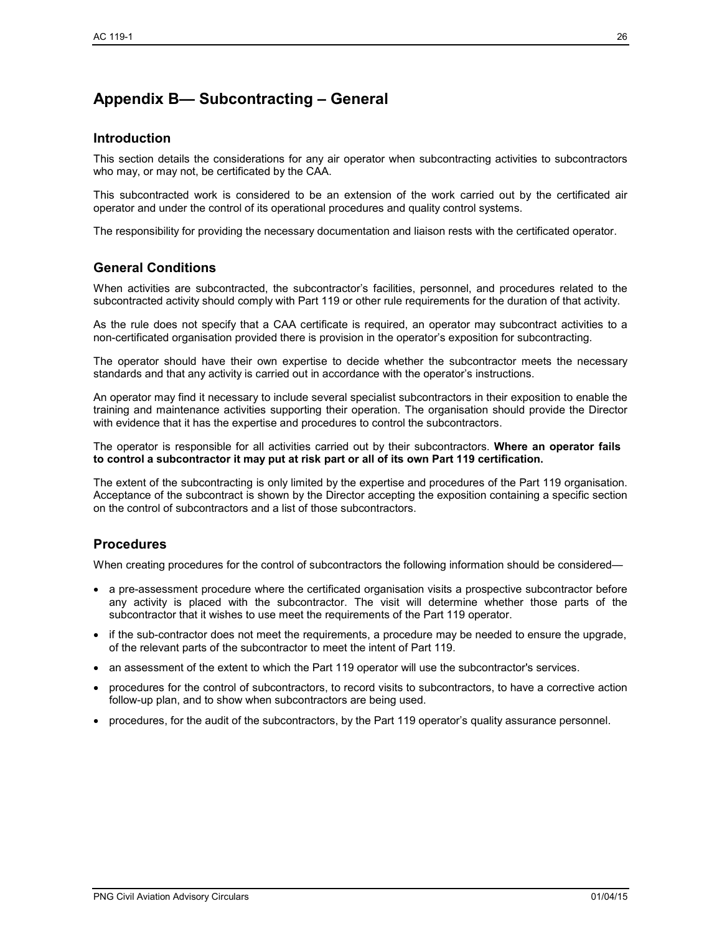# **Appendix B— Subcontracting – General**

### **Introduction**

This section details the considerations for any air operator when subcontracting activities to subcontractors who may, or may not, be certificated by the CAA.

This subcontracted work is considered to be an extension of the work carried out by the certificated air operator and under the control of its operational procedures and quality control systems.

The responsibility for providing the necessary documentation and liaison rests with the certificated operator.

# **General Conditions**

When activities are subcontracted, the subcontractor's facilities, personnel, and procedures related to the subcontracted activity should comply with Part 119 or other rule requirements for the duration of that activity.

As the rule does not specify that a CAA certificate is required, an operator may subcontract activities to a non-certificated organisation provided there is provision in the operator's exposition for subcontracting.

The operator should have their own expertise to decide whether the subcontractor meets the necessary standards and that any activity is carried out in accordance with the operator's instructions.

An operator may find it necessary to include several specialist subcontractors in their exposition to enable the training and maintenance activities supporting their operation. The organisation should provide the Director with evidence that it has the expertise and procedures to control the subcontractors.

The operator is responsible for all activities carried out by their subcontractors. **Where an operator fails to control a subcontractor it may put at risk part or all of its own Part 119 certification.**

The extent of the subcontracting is only limited by the expertise and procedures of the Part 119 organisation. Acceptance of the subcontract is shown by the Director accepting the exposition containing a specific section on the control of subcontractors and a list of those subcontractors.

# **Procedures**

When creating procedures for the control of subcontractors the following information should be considered—

- a pre-assessment procedure where the certificated organisation visits a prospective subcontractor before any activity is placed with the subcontractor. The visit will determine whether those parts of the subcontractor that it wishes to use meet the requirements of the Part 119 operator.
- if the sub-contractor does not meet the requirements, a procedure may be needed to ensure the upgrade, of the relevant parts of the subcontractor to meet the intent of Part 119.
- an assessment of the extent to which the Part 119 operator will use the subcontractor's services.
- procedures for the control of subcontractors, to record visits to subcontractors, to have a corrective action follow-up plan, and to show when subcontractors are being used.
- procedures, for the audit of the subcontractors, by the Part 119 operator's quality assurance personnel.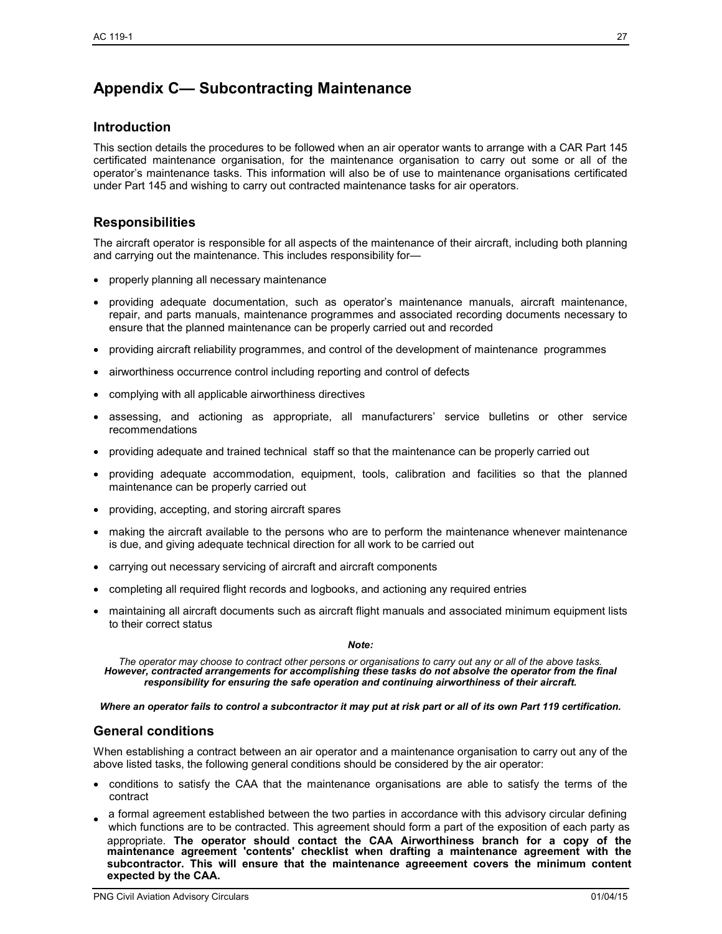# **Appendix C— Subcontracting Maintenance**

# **Introduction**

This section details the procedures to be followed when an air operator wants to arrange with a CAR Part 145 certificated maintenance organisation, for the maintenance organisation to carry out some or all of the operator's maintenance tasks. This information will also be of use to maintenance organisations certificated under Part 145 and wishing to carry out contracted maintenance tasks for air operators.

# **Responsibilities**

The aircraft operator is responsible for all aspects of the maintenance of their aircraft, including both planning and carrying out the maintenance. This includes responsibility for—

- properly planning all necessary maintenance
- providing adequate documentation, such as operator's maintenance manuals, aircraft maintenance, repair, and parts manuals, maintenance programmes and associated recording documents necessary to ensure that the planned maintenance can be properly carried out and recorded
- providing aircraft reliability programmes, and control of the development of maintenance programmes
- airworthiness occurrence control including reporting and control of defects
- complying with all applicable airworthiness directives
- assessing, and actioning as appropriate, all manufacturers' service bulletins or other service recommendations
- providing adequate and trained technical staff so that the maintenance can be properly carried out
- providing adequate accommodation, equipment, tools, calibration and facilities so that the planned maintenance can be properly carried out
- providing, accepting, and storing aircraft spares
- making the aircraft available to the persons who are to perform the maintenance whenever maintenance is due, and giving adequate technical direction for all work to be carried out
- carrying out necessary servicing of aircraft and aircraft components
- completing all required flight records and logbooks, and actioning any required entries
- maintaining all aircraft documents such as aircraft flight manuals and associated minimum equipment lists to their correct status

*Note:* 

*The operator may choose to contract other persons or organisations to carry out any or all of the above tasks. However, contracted arrangements for accomplishing these tasks do not absolve the operator from the final responsibility for ensuring the safe operation and continuing airworthiness of their aircraft.* 

Where an operator fails to control a subcontractor it may put at risk part or all of its own Part 119 certification.

# **General conditions**

When establishing a contract between an air operator and a maintenance organisation to carry out any of the above listed tasks, the following general conditions should be considered by the air operator:

- conditions to satisfy the CAA that the maintenance organisations are able to satisfy the terms of the contract
- a formal agreement established between the two parties in accordance with this advisory circular defining which functions are to be contracted. This agreement should form a part of the exposition of each party as appropriate. **The operator should contact the CAA Airworthiness branch for a copy of the maintenance agreement 'contents' checklist when drafting a maintenance agreement with the subcontractor. This will ensure that the maintenance agreeement covers the minimum content expected by the CAA.**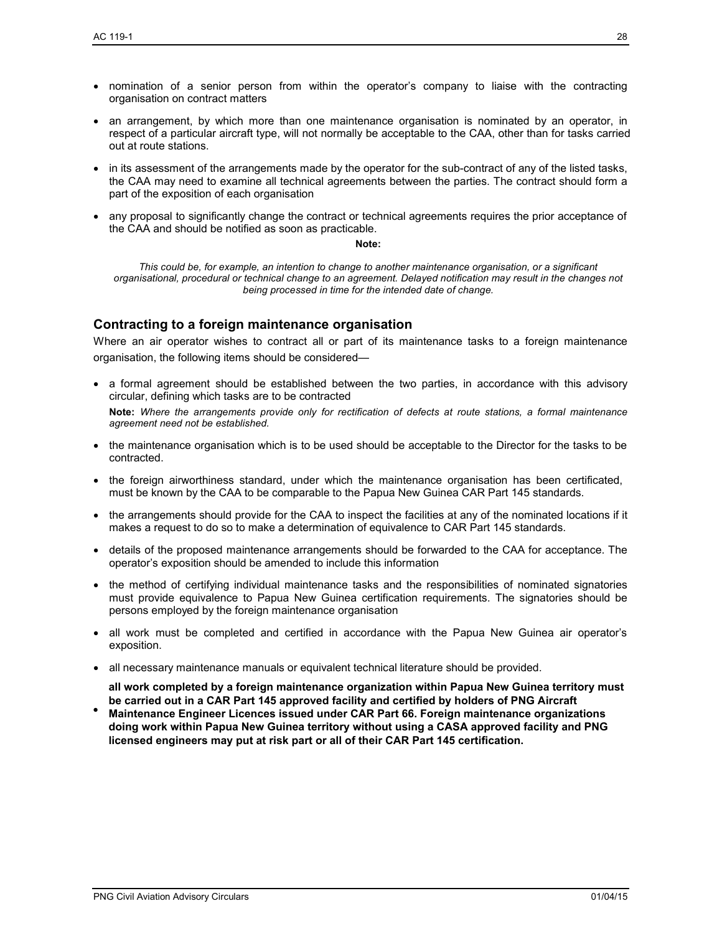- nomination of a senior person from within the operator's company to liaise with the contracting organisation on contract matters
- an arrangement, by which more than one maintenance organisation is nominated by an operator, in respect of a particular aircraft type, will not normally be acceptable to the CAA, other than for tasks carried out at route stations.
- in its assessment of the arrangements made by the operator for the sub-contract of any of the listed tasks, the CAA may need to examine all technical agreements between the parties. The contract should form a part of the exposition of each organisation
- any proposal to significantly change the contract or technical agreements requires the prior acceptance of the CAA and should be notified as soon as practicable.

#### **Note:**

*This could be, for example, an intention to change to another maintenance organisation, or a significant organisational, procedural or technical change to an agreement. Delayed notification may result in the changes not being processed in time for the intended date of change.* 

# **Contracting to a foreign maintenance organisation**

Where an air operator wishes to contract all or part of its maintenance tasks to a foreign maintenance organisation, the following items should be considered—

- a formal agreement should be established between the two parties, in accordance with this advisory circular, defining which tasks are to be contracted **Note:** *Where the arrangements provide only for rectification of defects at route stations, a formal maintenance agreement need not be established.*
- the maintenance organisation which is to be used should be acceptable to the Director for the tasks to be contracted.
- the foreign airworthiness standard, under which the maintenance organisation has been certificated, must be known by the CAA to be comparable to the Papua New Guinea CAR Part 145 standards.
- the arrangements should provide for the CAA to inspect the facilities at any of the nominated locations if it makes a request to do so to make a determination of equivalence to CAR Part 145 standards.
- details of the proposed maintenance arrangements should be forwarded to the CAA for acceptance. The operator's exposition should be amended to include this information
- the method of certifying individual maintenance tasks and the responsibilities of nominated signatories must provide equivalence to Papua New Guinea certification requirements. The signatories should be persons employed by the foreign maintenance organisation
- all work must be completed and certified in accordance with the Papua New Guinea air operator's exposition.
- all necessary maintenance manuals or equivalent technical literature should be provided.

**all work completed by a foreign maintenance organization within Papua New Guinea territory must be carried out in a CAR Part 145 approved facility and certified by holders of PNG Aircraft**

**Maintenance Engineer Licences issued under CAR Part 66. Foreign maintenance organizations doing work within Papua New Guinea territory without using a CASA approved facility and PNG licensed engineers may put at risk part or all of their CAR Part 145 certification.** •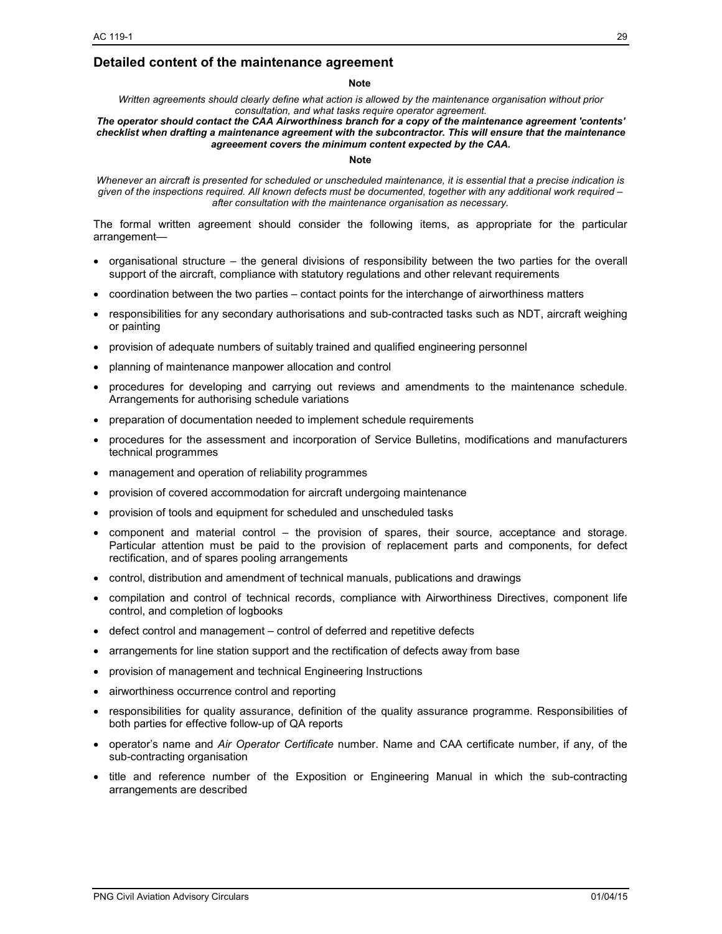# **Detailed content of the maintenance agreement**

#### **Note**

*Written agreements should clearly define what action is allowed by the maintenance organisation without prior consultation, and what tasks require operator agreement.* 

#### *The operator should contact the CAA Airworthiness branch for a copy of the maintenance agreement 'contents' checklist when drafting a maintenance agreement with the subcontractor. This will ensure that the maintenance agreeement covers the minimum content expected by the CAA.*

#### **Note**

*Whenever an aircraft is presented for scheduled or unscheduled maintenance, it is essential that a precise indication is given of the inspections required. All known defects must be documented, together with any additional work required – after consultation with the maintenance organisation as necessary.* 

The formal written agreement should consider the following items, as appropriate for the particular arrangement—

- organisational structure the general divisions of responsibility between the two parties for the overall support of the aircraft, compliance with statutory regulations and other relevant requirements
- coordination between the two parties contact points for the interchange of airworthiness matters
- responsibilities for any secondary authorisations and sub-contracted tasks such as NDT, aircraft weighing or painting
- provision of adequate numbers of suitably trained and qualified engineering personnel
- planning of maintenance manpower allocation and control
- procedures for developing and carrying out reviews and amendments to the maintenance schedule. Arrangements for authorising schedule variations
- preparation of documentation needed to implement schedule requirements
- procedures for the assessment and incorporation of Service Bulletins, modifications and manufacturers technical programmes
- management and operation of reliability programmes
- provision of covered accommodation for aircraft undergoing maintenance
- provision of tools and equipment for scheduled and unscheduled tasks
- component and material control the provision of spares, their source, acceptance and storage. Particular attention must be paid to the provision of replacement parts and components, for defect rectification, and of spares pooling arrangements
- control, distribution and amendment of technical manuals, publications and drawings
- compilation and control of technical records, compliance with Airworthiness Directives, component life control, and completion of logbooks
- defect control and management control of deferred and repetitive defects
- arrangements for line station support and the rectification of defects away from base
- provision of management and technical Engineering Instructions
- airworthiness occurrence control and reporting
- responsibilities for quality assurance, definition of the quality assurance programme. Responsibilities of both parties for effective follow-up of QA reports
- operator's name and *Air Operator Certificate* number. Name and CAA certificate number, if any, of the sub-contracting organisation
- title and reference number of the Exposition or Engineering Manual in which the sub-contracting arrangements are described